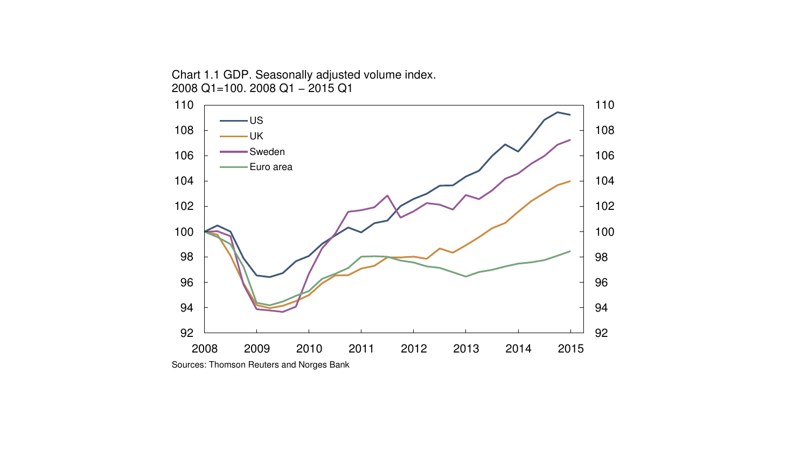2008 2009 2010 2011 2012 2013 2014 2015 US UK Sweden Euro area

Chart 1.1 GDP. Seasonally adjusted volume index. 2008 Q1=100. 2008 Q1 − 2015 Q1

Sources: Thomson Reuters and Norges Bank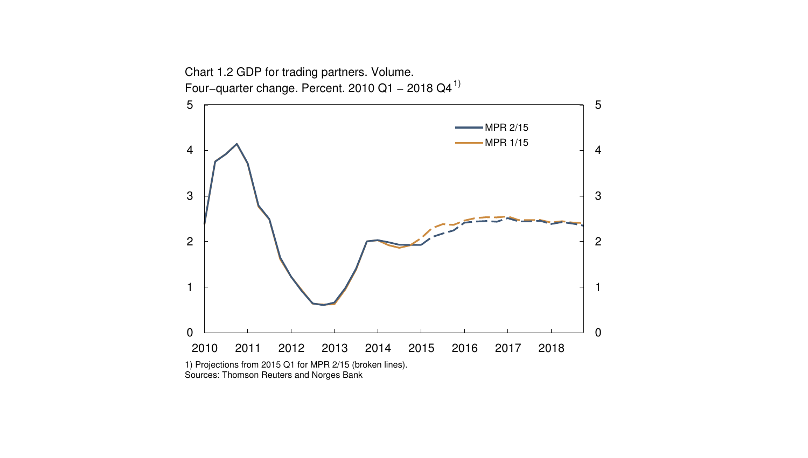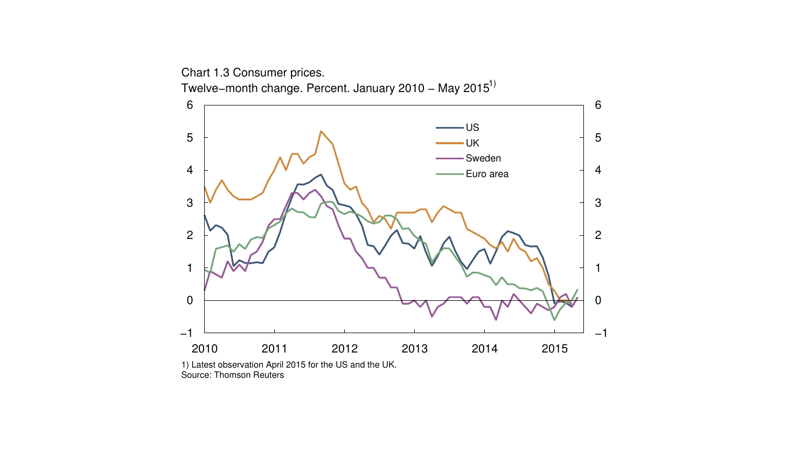Chart 1.3 Consumer prices. Twelve–month change. Percent. January 2010 – May 2015<sup>1)</sup>

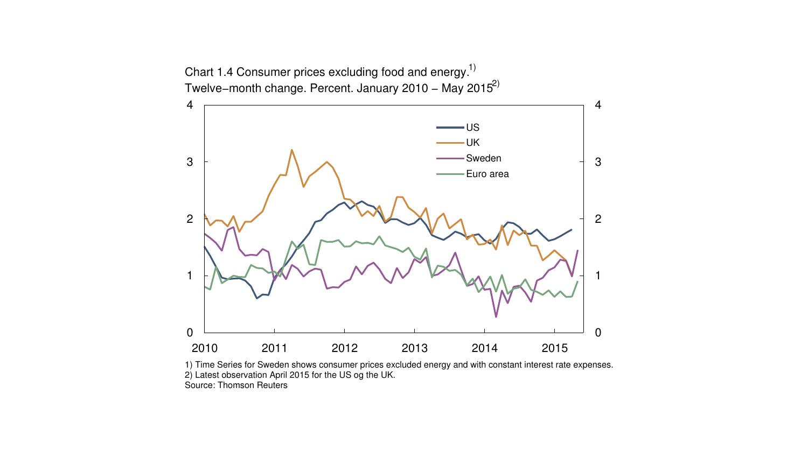

1) Time Series for Sweden shows consumer prices excluded energy and with constant interest rate expenses. 2) Latest observation April 2015 for the US og the UK. Source: Thomson Reuters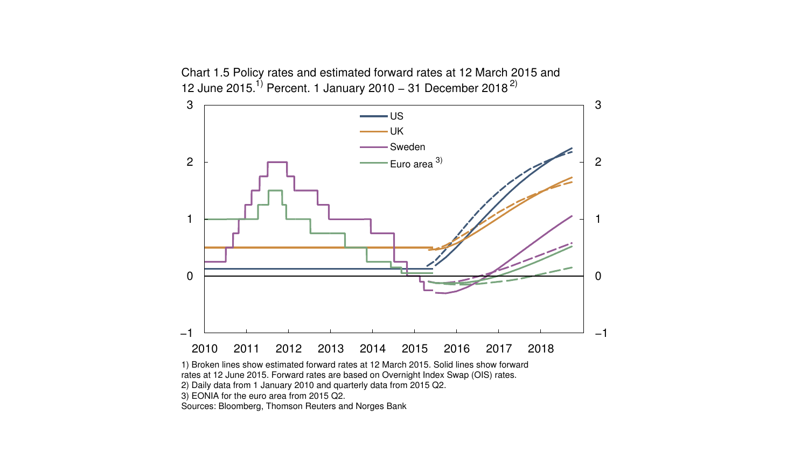

Chart 1.5 Policy rates and estimated forward rates at 12 March 2015 and 12 June 2015.<sup>1)</sup> Percent. 1 January 2010 – 31 December 2018<sup>2)</sup>

1) Broken lines show estimated forward rates at 12 March 2015. Solid lines show forward rates at 12 June 2015. Forward rates are based on Overnight Index Swap (OIS) rates. 2) Daily data from 1 January 2010 and quarterly data from 2015 Q2.

3) EONIA for the euro area from 2015 Q2.

Sources: Bloomberg, Thomson Reuters and Norges Bank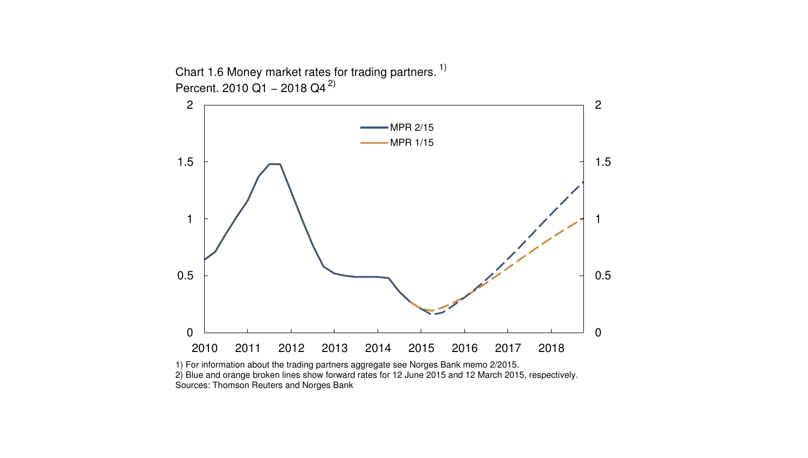

Chart 1.6 Money market rates for trading partners.<sup>1)</sup> Percent. 2010 Q1 – 2018 Q4<sup>2)</sup>

1) For information about the trading partners aggregate see Norges Bank memo 2/2015. 2) Blue and orange broken lines show forward rates for 12 June 2015 and 12 March 2015, respectively. Sources: Thomson Reuters and Norges Bank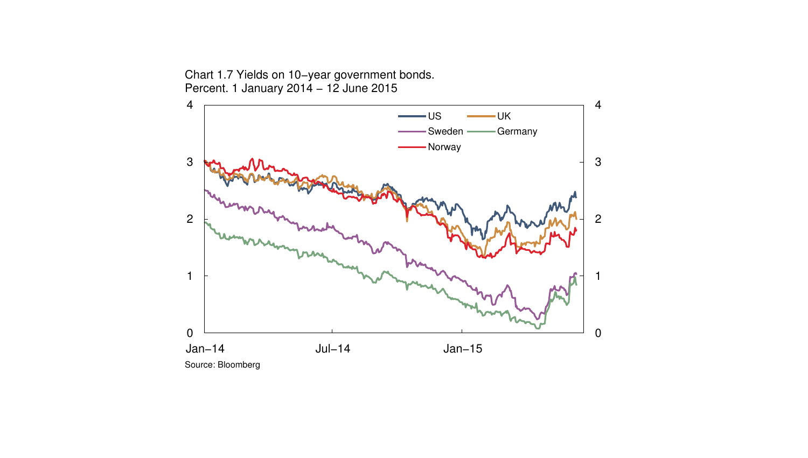Chart 1.7 Yields on 10−year government bonds. Percent. 1 January 2014 − 12 June 2015

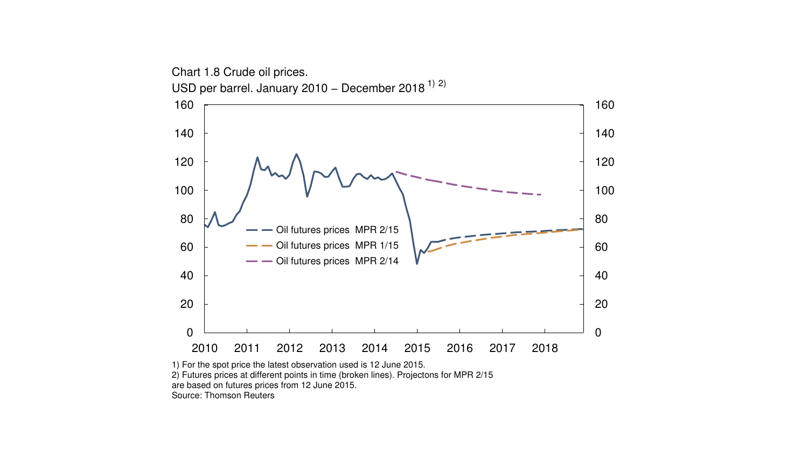

are based on futures prices from 12 June 2015.

Source: Thomson Reuters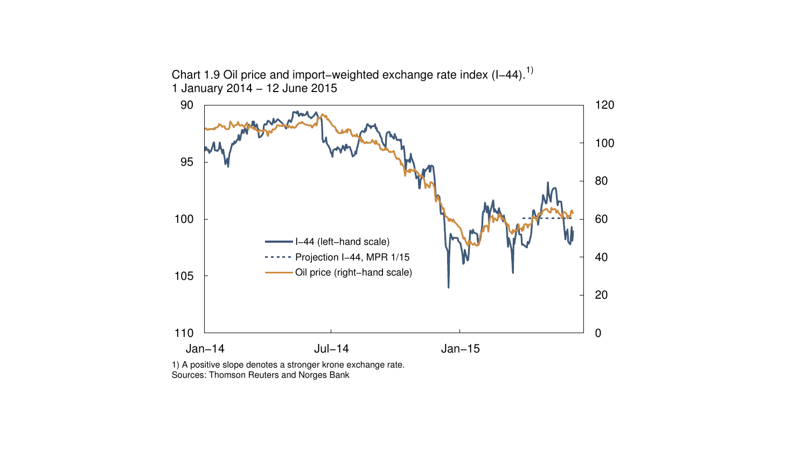Chart 1.9 Oil price and import–weighted exchange rate index (I–44).<sup>1)</sup> 1 January 2014 − 12 June 2015



1) A positive slope denotes a stronger krone exchange rate. Sources: Thomson Reuters and Norges Bank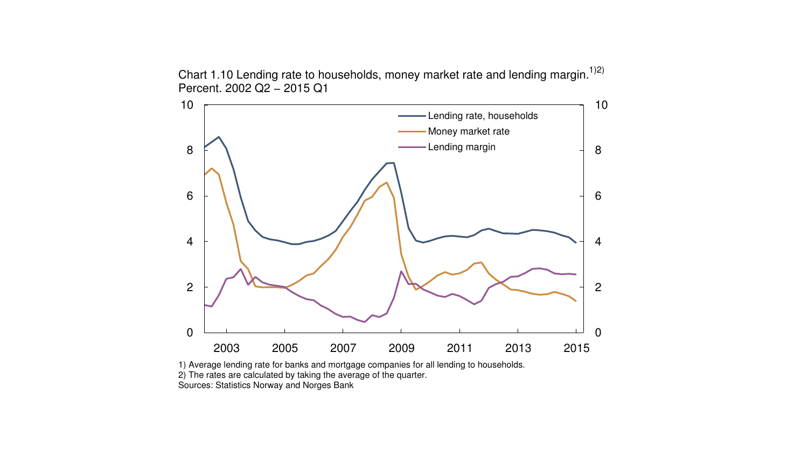



1) Average lending rate for banks and mortgage companies for all lending to households. 2) The rates are calculated by taking the average of the quarter. Sources: Statistics Norway and Norges Bank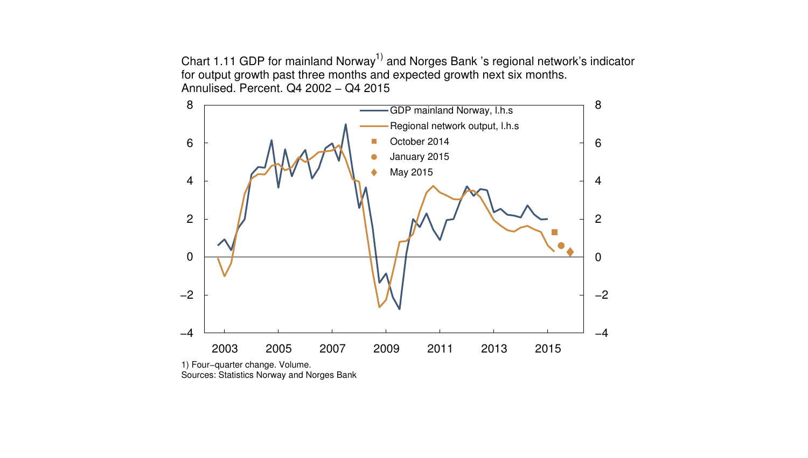Chart 1.11 GDP for mainland Norway<sup>1)</sup> and Norges Bank 's regional network's indicator for output growth past three months and expected growth next six months. Annulised. Percent. Q4 2002 − Q4 2015



1) Four−quarter change. Volume. Sources: Statistics Norway and Norges Bank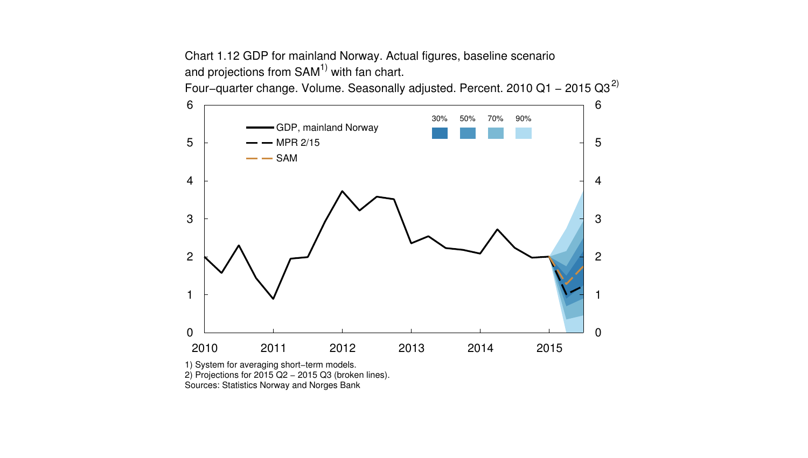Chart 1.12 GDP for mainland Norway. Actual figures, baseline scenario and projections from  $SAM<sup>1</sup>$  with fan chart.

Four–quarter change. Volume. Seasonally adjusted. Percent. 2010 Q1 – 2015 Q3<sup>2)</sup>



1) System for averaging short−term models.

2) Projections for 2015 Q2 − 2015 Q3 (broken lines).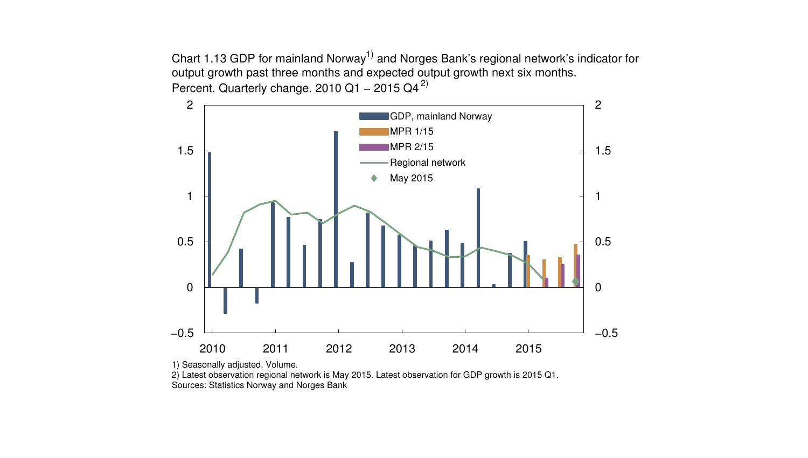Chart 1.13 GDP for mainland Norway<sup>1)</sup> and Norges Bank's regional network's indicator for output growth past three months and expected output growth next six months. Percent. Quarterly change. 2010 Q1 – 2015 Q4<sup>2)</sup>



1) Seasonally adjusted. Volume.

2) Latest observation regional network is May 2015. Latest observation for GDP growth is 2015 Q1.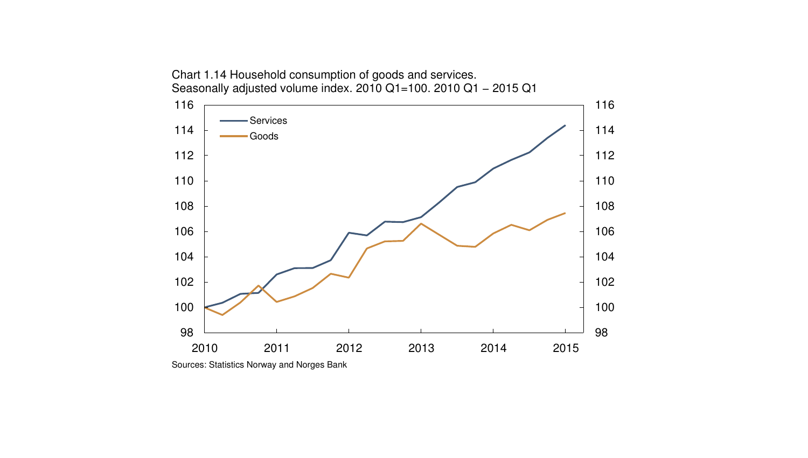

Chart 1.14 Household consumption of goods and services.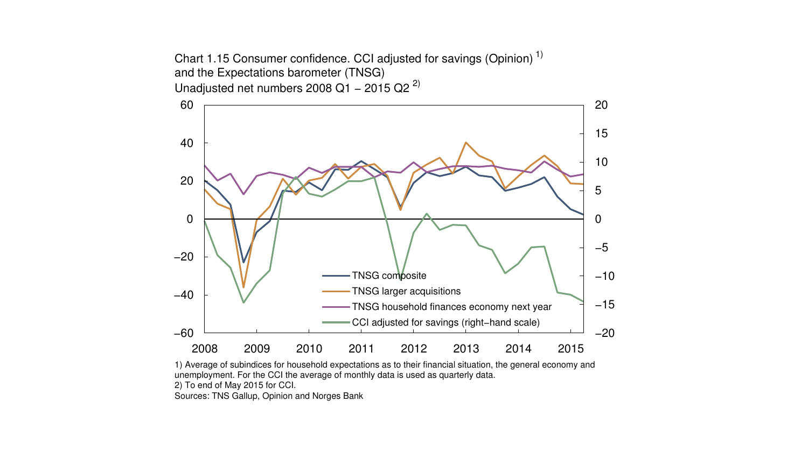





2) To end of May 2015 for CCI.

Sources: TNS Gallup, Opinion and Norges Bank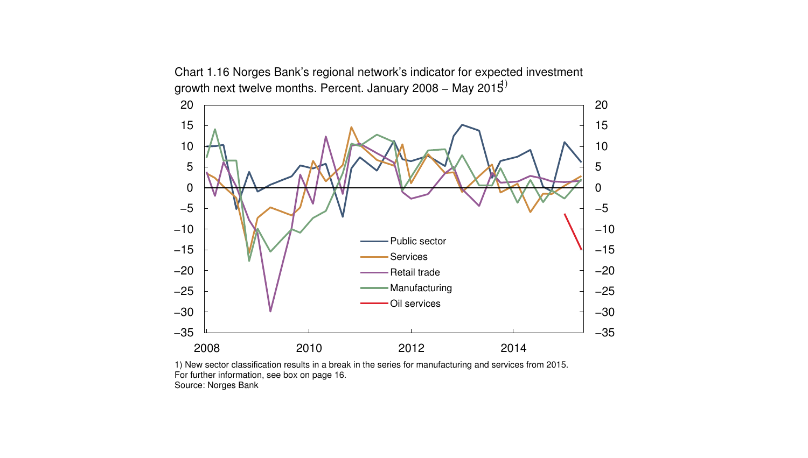



1) New sector classification results in a break in the series for manufacturing and services from 2015. For further information, see box on page 16. Source: Norges Bank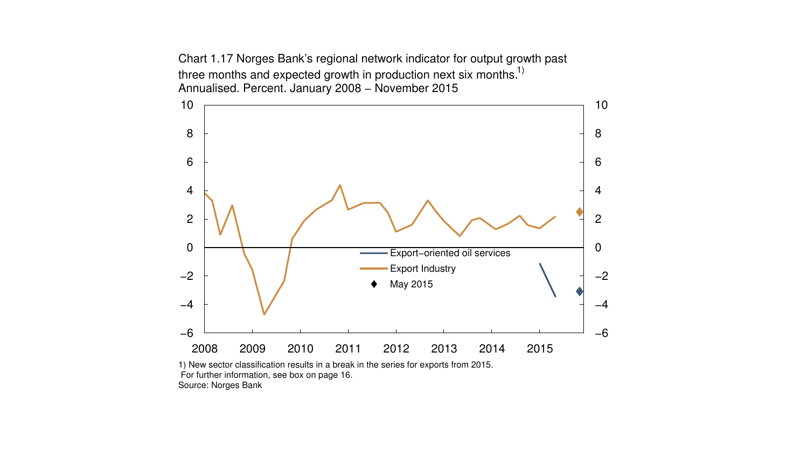Chart 1.17 Norges Bank's regional network indicator for output growth past three months and expected growth in production next six months.<sup>1)</sup> Annualised. Percent. January 2008 − November 2015



1) New sector classification results in a break in the series for exports from 2015. For further information, see box on page 16. Source: Norges Bank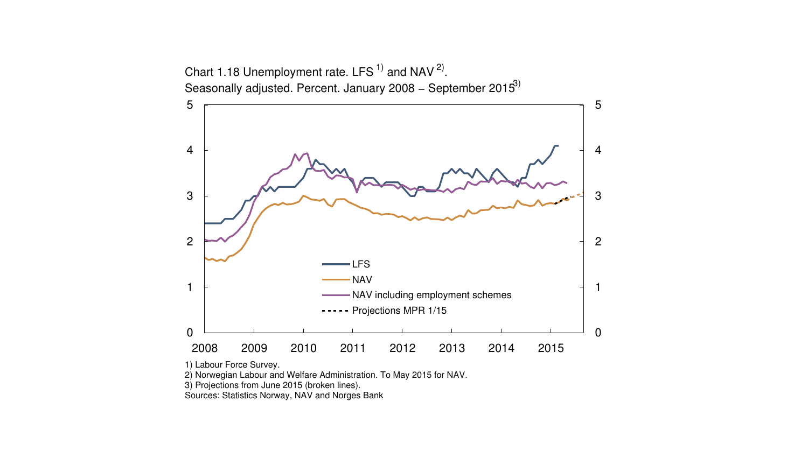

1) Labour Force Survey.

2) Norwegian Labour and Welfare Administration. To May 2015 for NAV.

3) Projections from June 2015 (broken lines).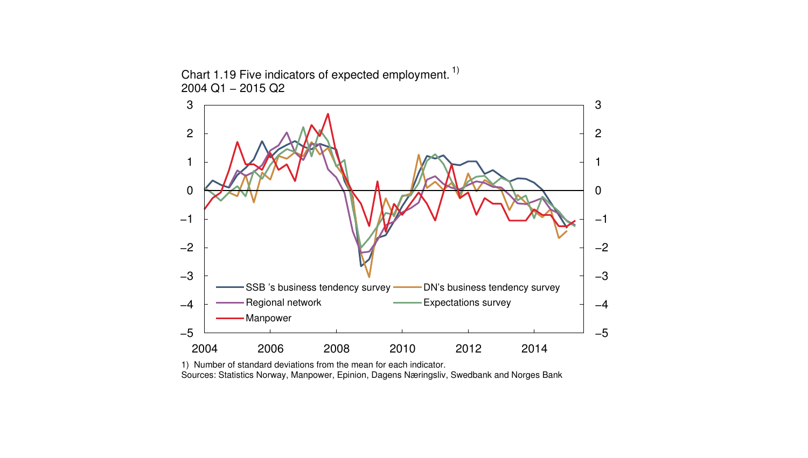

Chart 1.19 Five indicators of expected employment.<sup>1)</sup> 2004 Q1 − 2015 Q2

1) Number of standard deviations from the mean for each indicator. Sources: Statistics Norway, Manpower, Epinion, Dagens Næringsliv, Swedbank and Norges Bank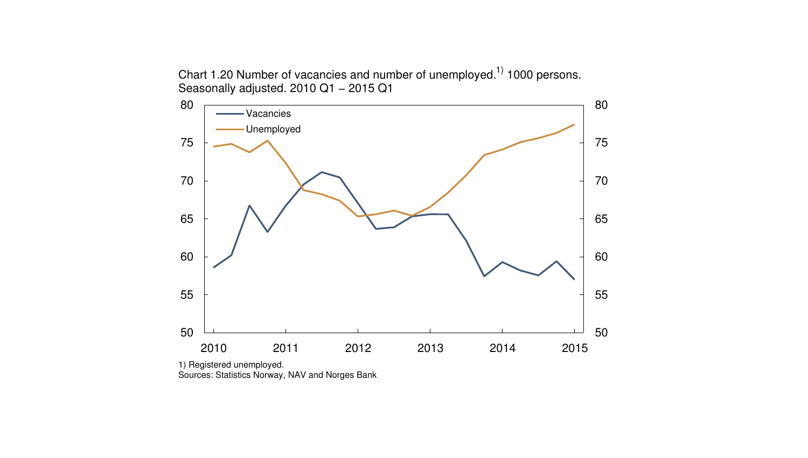Chart 1.20 Number of vacancies and number of unemployed.<sup>1)</sup> 1000 persons. Seasonally adjusted. 2010 Q1 − 2015 Q1



1) Registered unemployed.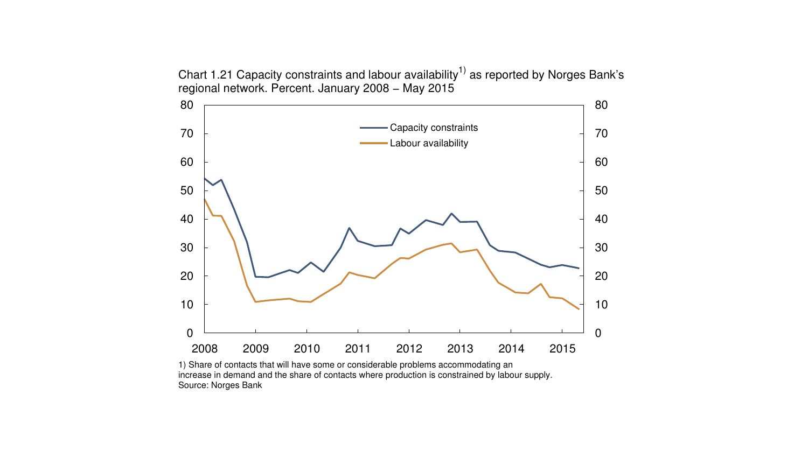Chart 1.21 Capacity constraints and labour availability<sup>1)</sup> as reported by Norges Bank's regional network. Percent. January 2008 − May 2015



1) Share of contacts that will have some or considerable problems accommodating an increase in demand and the share of contacts where production is constrained by labour supply. Source: Norges Bank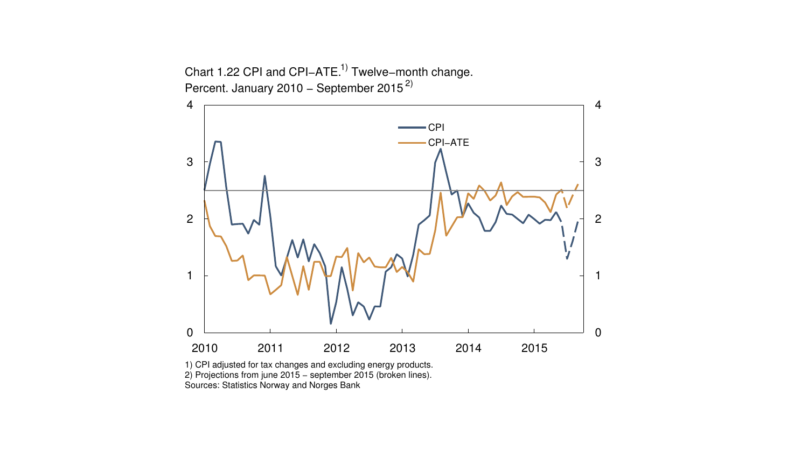

1) CPI adjusted for tax changes and excluding energy products. 2) Projections from june 2015 − september 2015 (broken lines). Sources: Statistics Norway and Norges Bank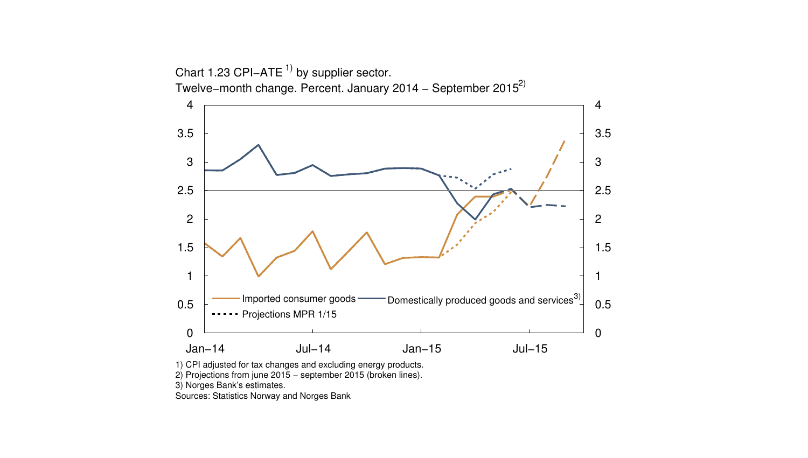

2) Projections from june 2015 − september 2015 (broken lines).

3) Norges Bank's estimates.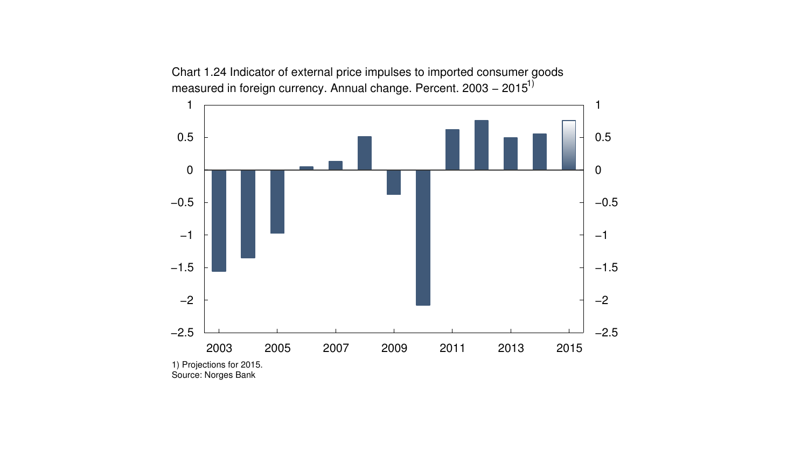

Chart 1.24 Indicator of external price impulses to imported consumer goods measured in foreign currency. Annual change. Percent. 2003 – 2015<sup>1)</sup>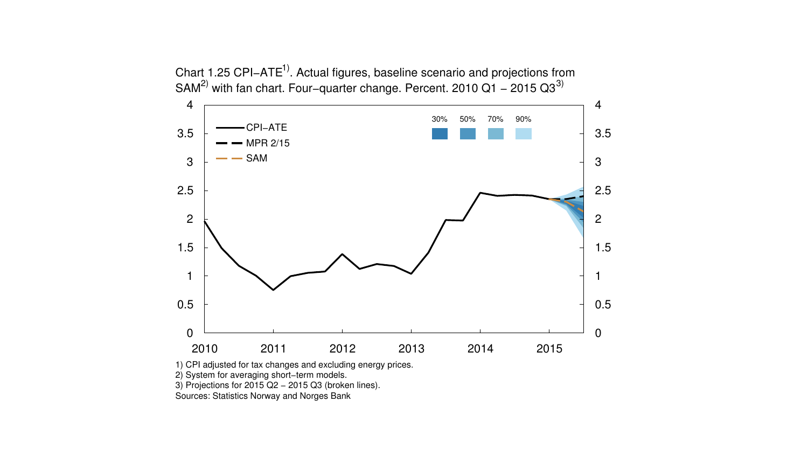Chart 1.25 CPI–ATE<sup>1)</sup>. Actual figures, baseline scenario and projections from SAM<sup>2)</sup> with fan chart. Four–quarter change. Percent. 2010 Q1 – 2015 Q3<sup>3)</sup>



1) CPI adjusted for tax changes and excluding energy prices.

2) System for averaging short−term models.

3) Projections for 2015 Q2 − 2015 Q3 (broken lines).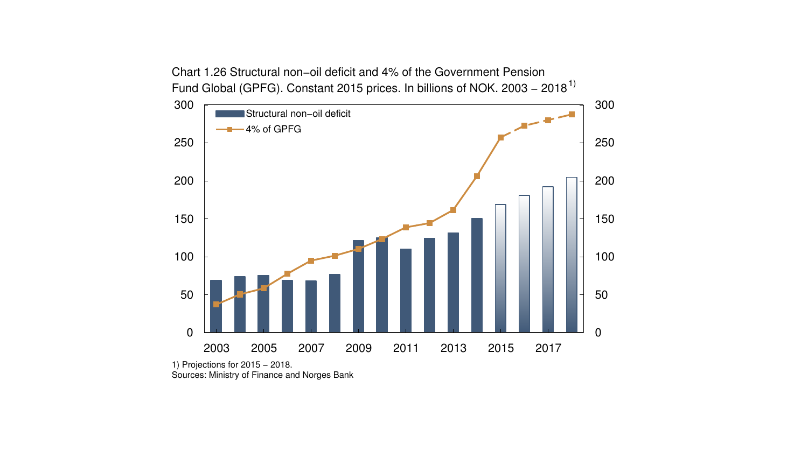

Chart 1.26 Structural non−oil deficit and 4% of the Government Pension

1) Projections for 2015 - 2018. Sources: Ministry of Finance and Norges Bank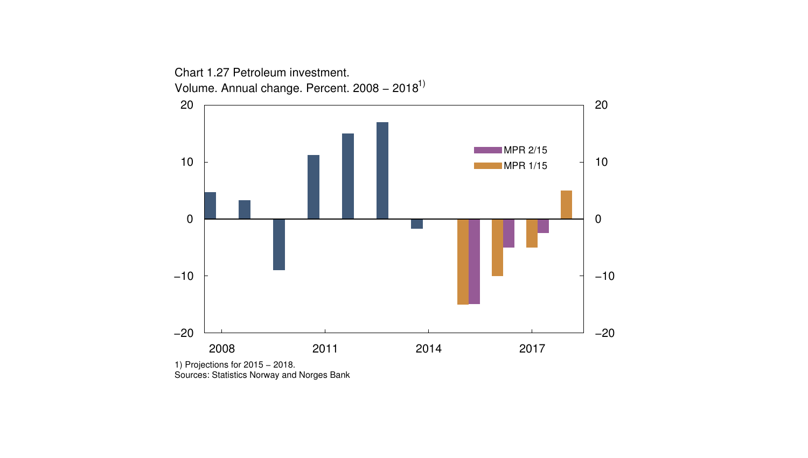

1) Projections for 2015 - 2018. Sources: Statistics Norway and Norges Bank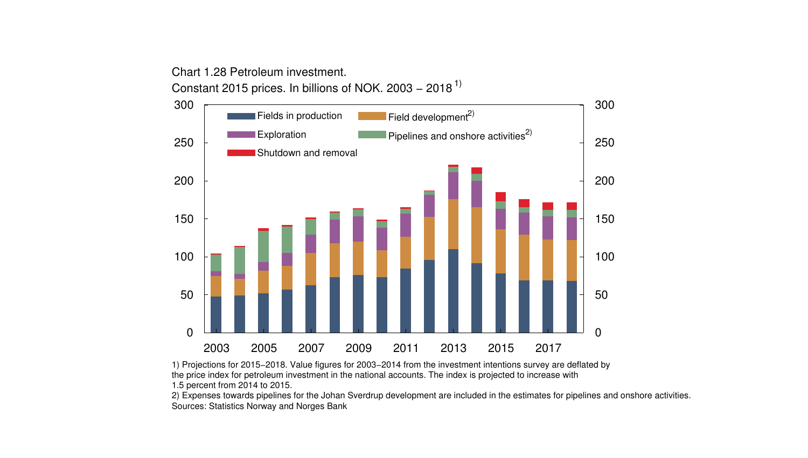Chart 1.28 Petroleum investment. Constant 2015 prices. In billions of NOK. 2003 − 2018 1)



<sup>1)</sup> Projections for 2015−2018. Value figures for 2003−2014 from the investment intentions survey are deflated by the price index for petroleum investment in the national accounts. The index is projected to increase with 1.5 percent from 2014 to 2015.

2) Expenses towards pipelines for the Johan Sverdrup development are included in the estimates for pipelines and onshore activities. Sources: Statistics Norway and Norges Bank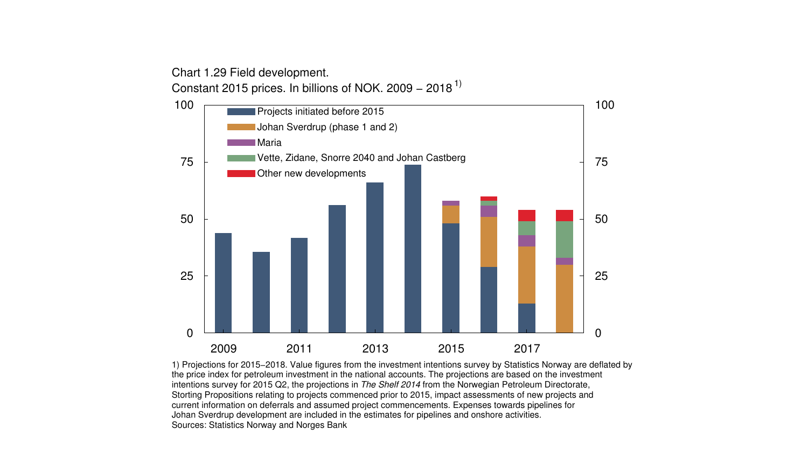Chart 1.29 Field development. Constant 2015 prices. In billions of NOK. 2009 − 2018 1)



1) Projections for 2015−2018. Value figures from the investment intentions survey by Statistics Norway are deflated by the price index for petroleum investment in the national accounts. The projections are based on the investment intentions survey for 2015 Q2, the projections in The Shelf 2014 from the Norwegian Petroleum Directorate, Storting Propositions relating to projects commenced prior to 2015, impact assessments of new projects and current information on deferrals and assumed project commencements. Expenses towards pipelines for Johan Sverdrup development are included in the estimates for pipelines and onshore activities. Sources: Statistics Norway and Norges Bank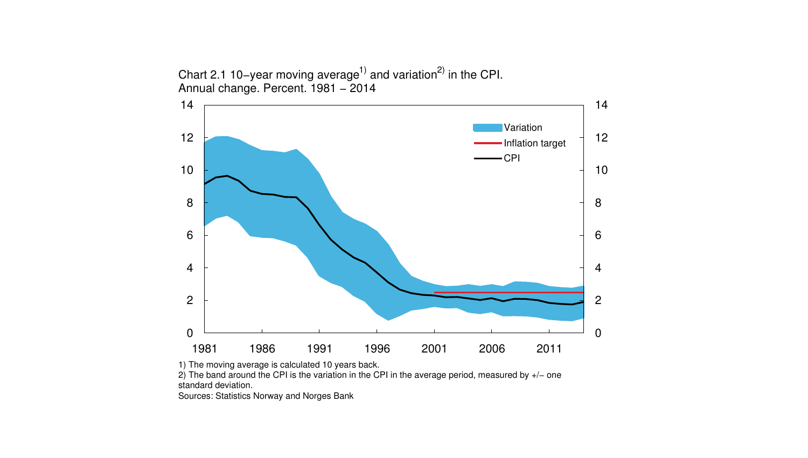



1) The moving average is calculated 10 years back.

2) The band around the CPI is the variation in the CPI in the average period, measured by +/− one standard deviation.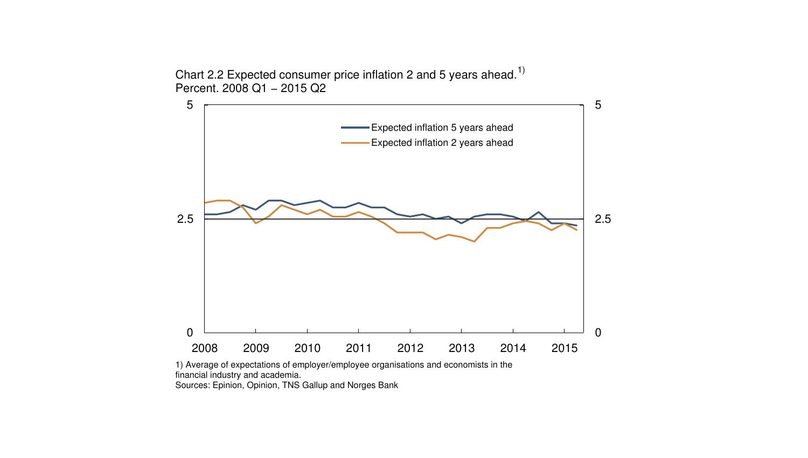Chart 2.2 Expected consumer price inflation 2 and 5 years ahead.<sup>1)</sup> Percent. 2008 Q1 - 2015 Q2



1) Average of expectations of employer/employee organisations and economists in the financial industry and academia. Sources: Epinion, Opinion, TNS Gallup and Norges Bank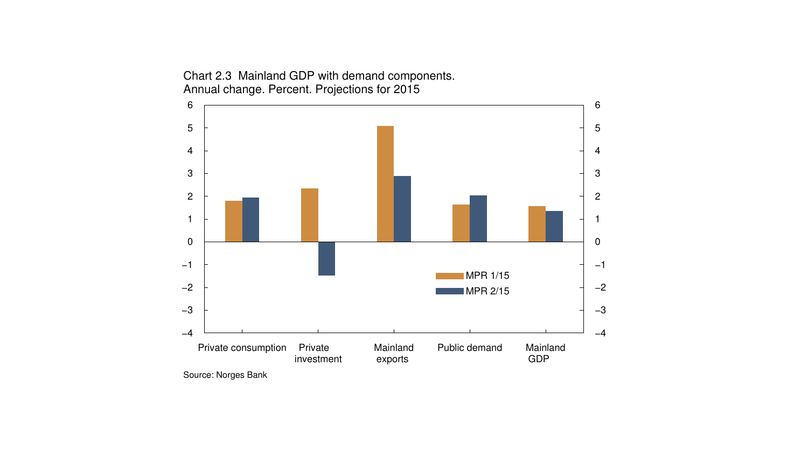

Chart 2.3 Mainland GDP with demand components. Annual change. Percent. Projections for 2015

Source: Norges Bank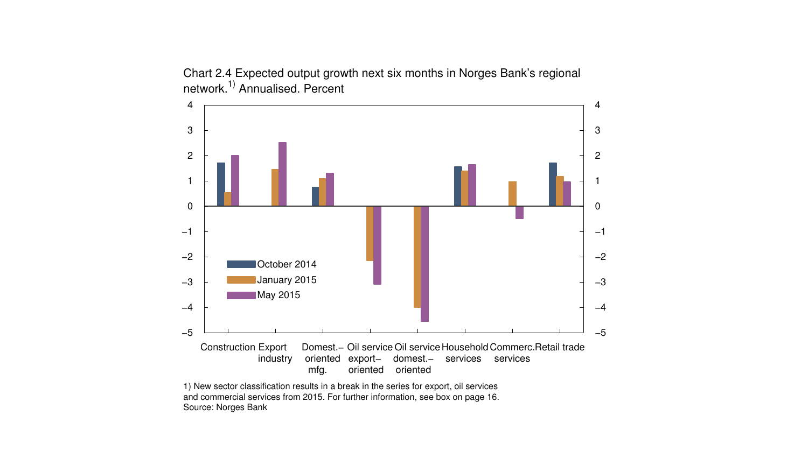

Chart 2.4 Expected output growth next six months in Norges Bank's regional network.1) Annualised. Percent

1) New sector classification results in a break in the series for export, oil services and commercial services from 2015. For further information, see box on page 16. Source: Norges Bank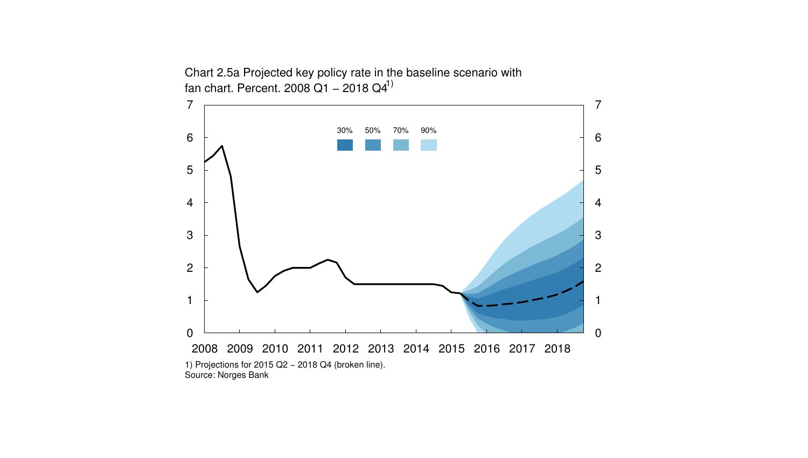Chart 2.5a Projected key policy rate in the baseline scenario with fan chart. Percent. 2008 Q1 – 2018 Q4<sup>1)</sup>

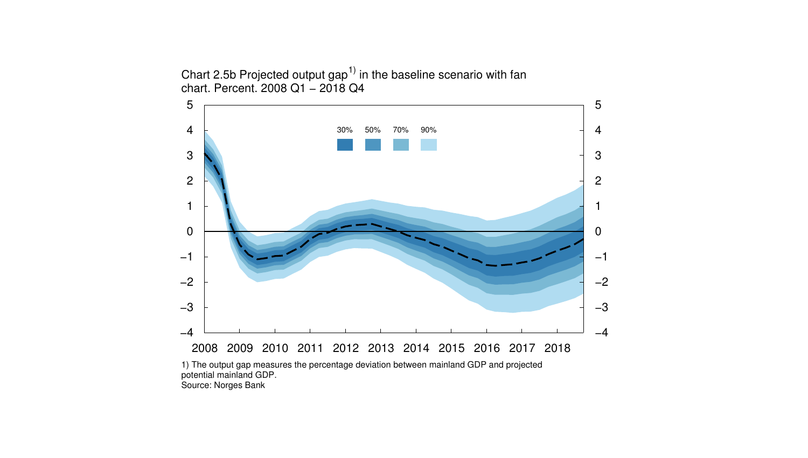Chart 2.5b Projected output  $\text{gap}^{1}$  in the baseline scenario with fan chart. Percent. 2008 Q1 − 2018 Q4

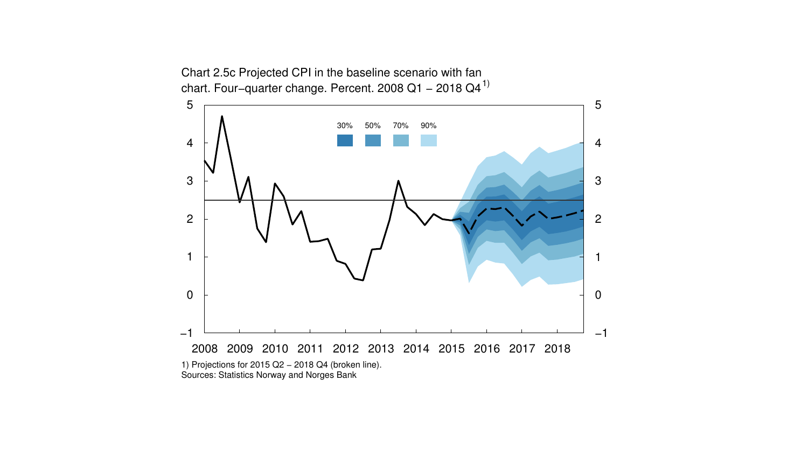Chart 2.5c Projected CPI in the baseline scenario with fan chart. Four–quarter change. Percent. 2008 Q1 – 2018 Q4<sup>1)</sup>

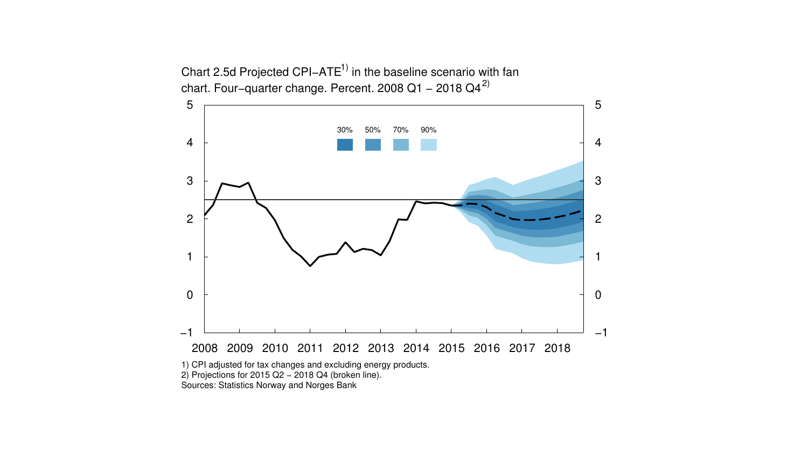Chart 2.5d Projected CPI−ATE1) in the baseline scenario with fan chart. Four–quarter change. Percent. 2008 Q1 – 2018 Q4<sup>2)</sup>

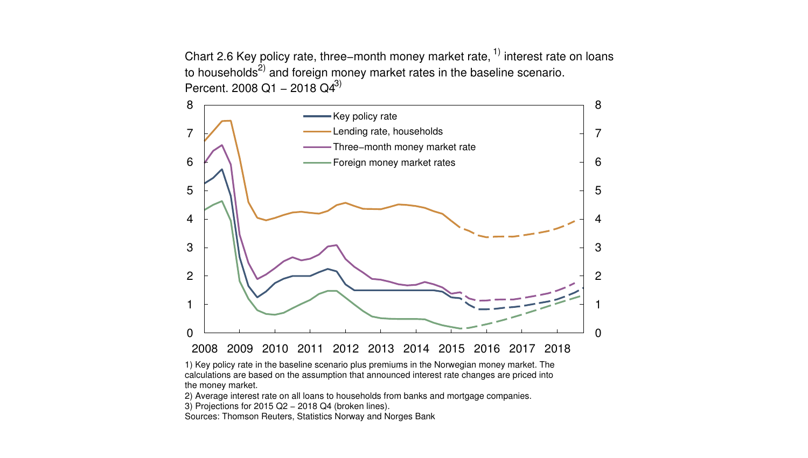Chart 2.6 Key policy rate, three–month money market rate,  $1$ ) interest rate on loans to households $^{2)}$  and foreign money market rates in the baseline scenario. Percent. 2008 Q1 – 2018 Q4<sup>3)</sup>



1) Key policy rate in the baseline scenario plus premiums in the Norwegian money market. The calculations are based on the assumption that announced interest rate changes are priced into the money market.

2) Average interest rate on all loans to households from banks and mortgage companies.

3) Projections for 2015 Q2 − 2018 Q4 (broken lines).

Sources: Thomson Reuters, Statistics Norway and Norges Bank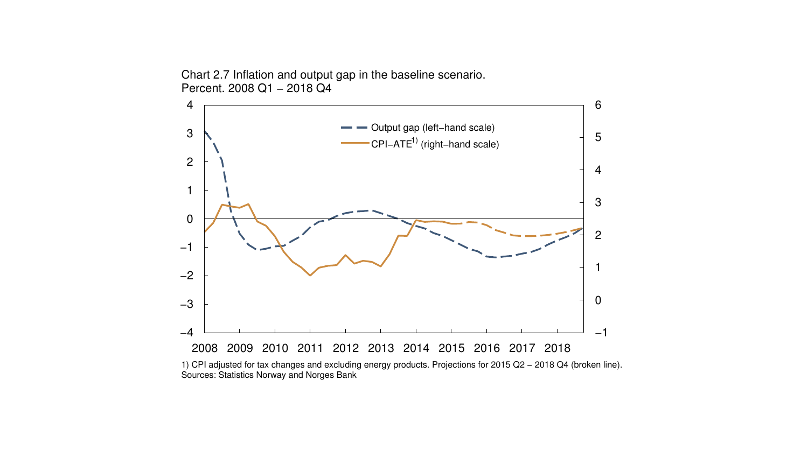

Chart 2.7 Inflation and output gap in the baseline scenario. Percent. 2008 Q1 - 2018 Q4

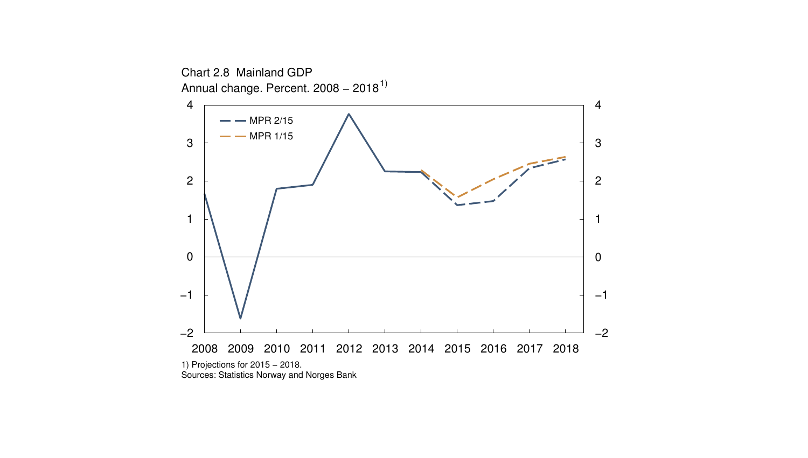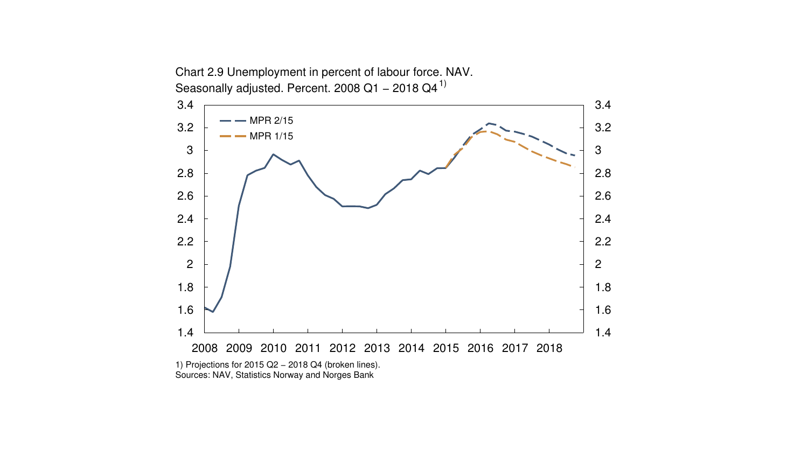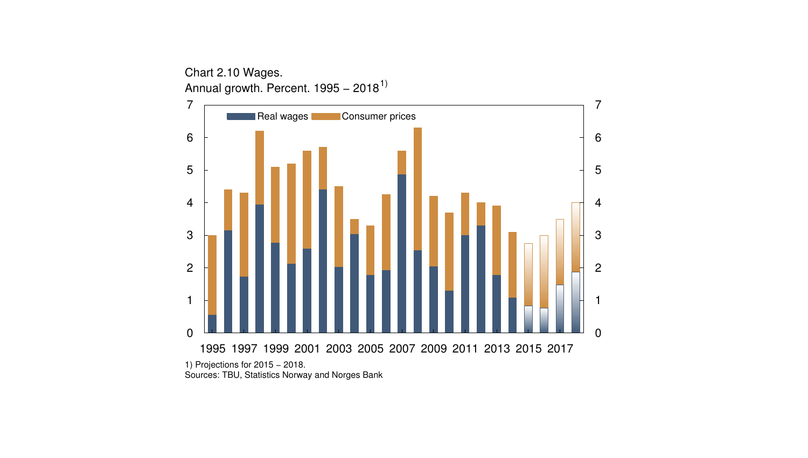1995 1997 1999 2001 2003 2005 2007 2009 2011 2013 2015 2017  $\Omega$  Annual growth. Percent. 1995 – 2018<sup>1)</sup> 1) Projections for 2015 - 2018. Real wages **Consumer prices** 

Sources: TBU, Statistics Norway and Norges Bank

Chart 2.10 Wages.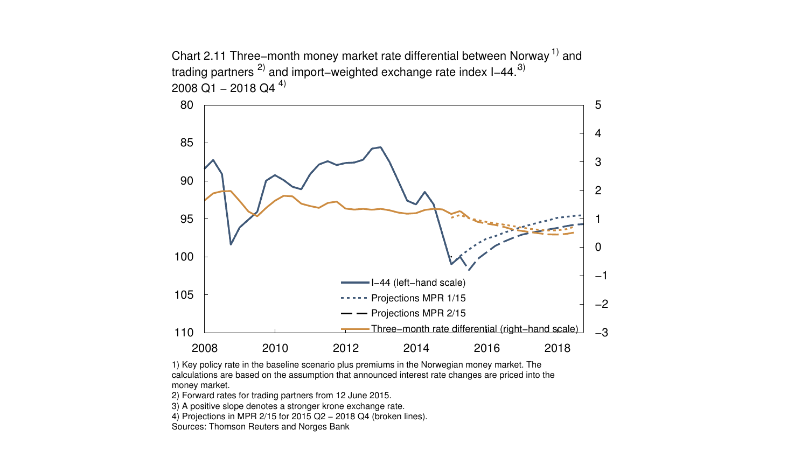Chart 2.11 Three–month money market rate differential between Norway<sup>1)</sup> and trading partners <sup>2)</sup> and import–weighted exchange rate index I–44.<sup>3)</sup> 2008 Q1 – 2018 Q4 <sup>4)</sup>



1) Key policy rate in the baseline scenario plus premiums in the Norwegian money market. The calculations are based on the assumption that announced interest rate changes are priced into the money market.

2) Forward rates for trading partners from 12 June 2015.

3) A positive slope denotes a stronger krone exchange rate.

4) Projections in MPR 2/15 for 2015 Q2 − 2018 Q4 (broken lines).

Sources: Thomson Reuters and Norges Bank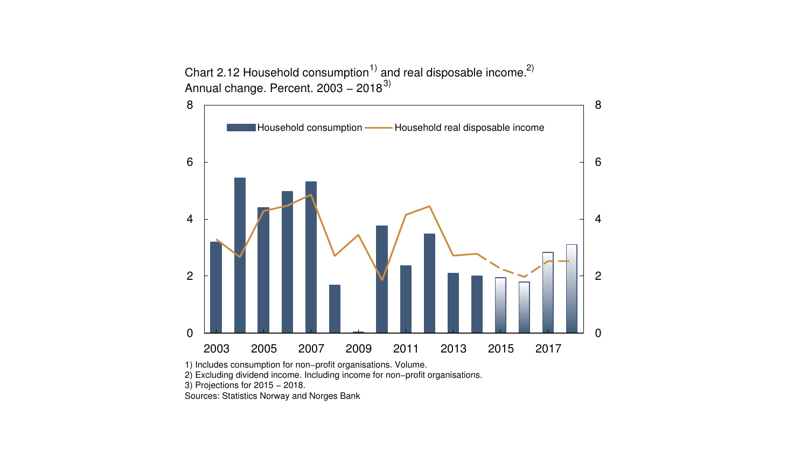Chart 2.12 Household consumption<sup>1)</sup> and real disposable income.<sup>2)</sup> Annual change. Percent. 2003 – 2018 $^{3)}$ 



1) Includes consumption for non−profit organisations. Volume.

2) Excluding dividend income. Including income for non−profit organisations.

3) Projections for 2015 – 2018.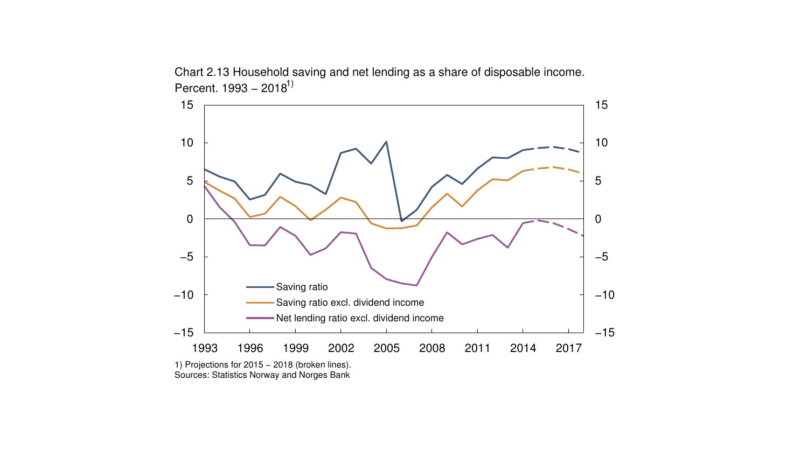

Chart 2.13 Household saving and net lending as a share of disposable income. Percent. 1993 – 2018<sup>1)</sup>

1) Projections for 2015 − 2018 (broken lines). Sources: Statistics Norway and Norges Bank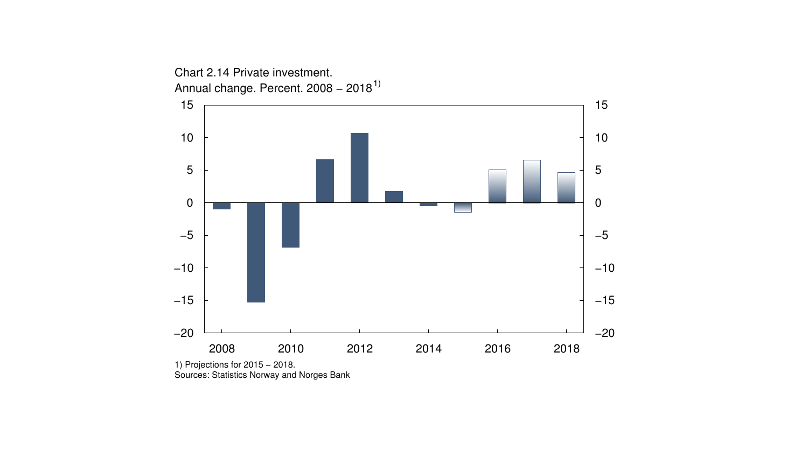

1) Projections for 2015 − 2018. Sources: Statistics Norway and Norges Bank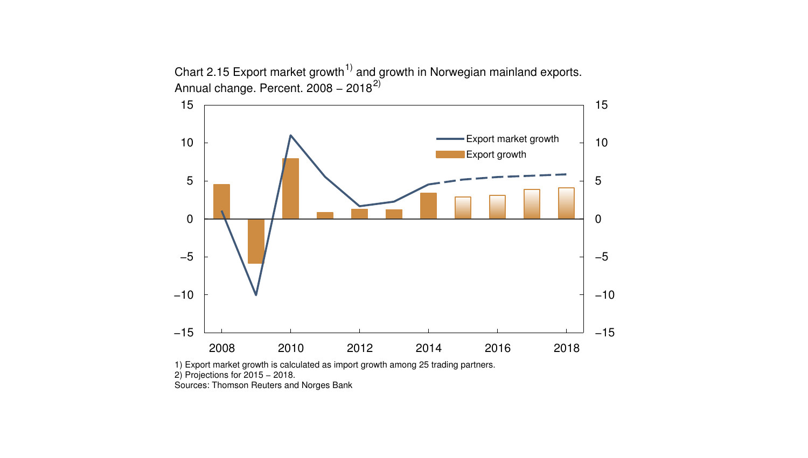Chart 2.15 Export market growth<sup>1)</sup> and growth in Norwegian mainland exports. Annual change. Percent. 2008 – 2018 $^{2)}$ 



1) Export market growth is calculated as import growth among 25 trading partners.

2) Projections for 2015 − 2018.

Sources: Thomson Reuters and Norges Bank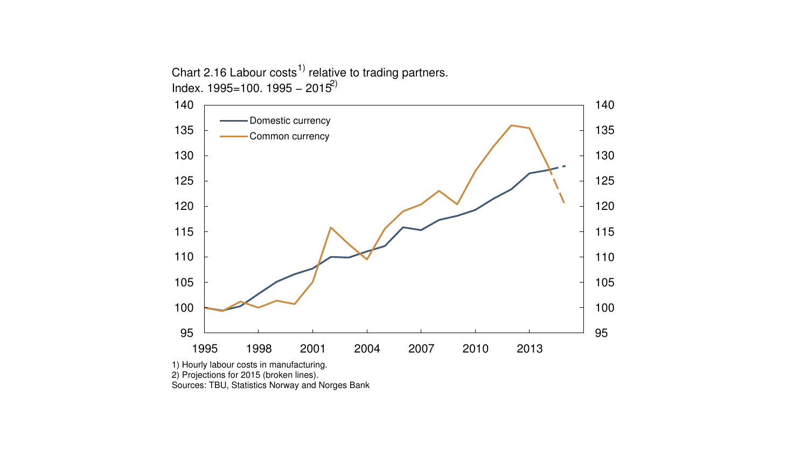Chart 2.16 Labour costs<sup>1)</sup> relative to trading partners. Index. 1995=100. 1995 – 2015<sup>2)</sup>



1) Hourly labour costs in manufacturing.

2) Projections for 2015 (broken lines).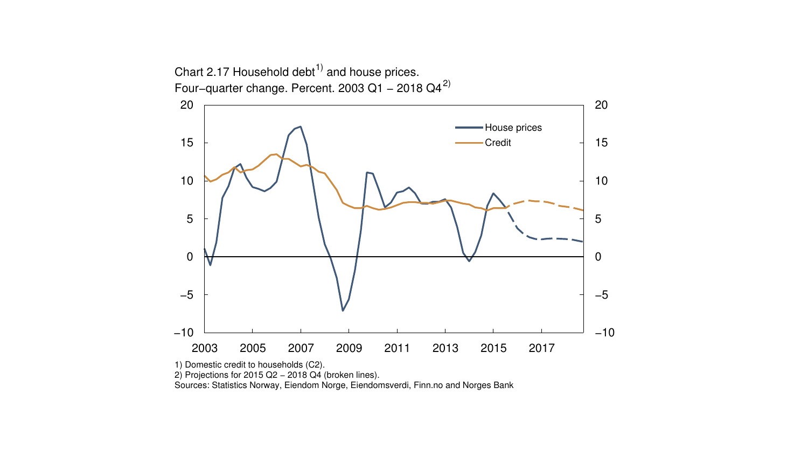

2) Projections for 2015 Q2 – 2018 Q4 (broken lines).

Sources: Statistics Norway, Eiendom Norge, Eiendomsverdi, Finn.no and Norges Bank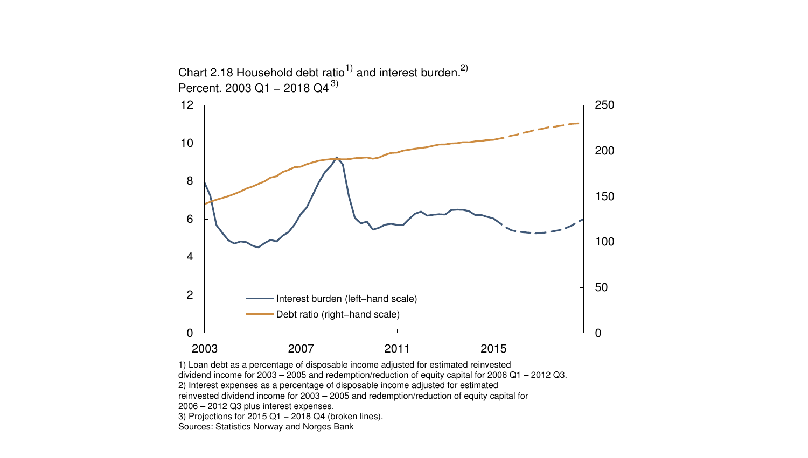

1) Loan debt as a percentage of disposable income adjusted for estimated reinvested dividend income for 2003 – 2005 and redemption/reduction of equity capital for 2006 Q1 – 2012 Q3. 2) Interest expenses as a percentage of disposable income adjusted for estimated reinvested dividend income for 2003 – 2005 and redemption/reduction of equity capital for 2006 – 2012 Q3 plus interest expenses. 3) Projections for 2015 Q1 − 2018 Q4 (broken lines). Sources: Statistics Norway and Norges Bank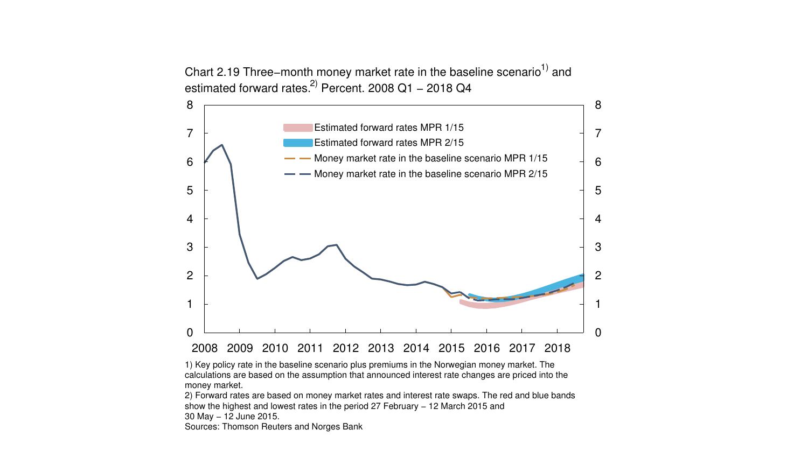Chart 2.19 Three–month money market rate in the baseline scenario<sup>1)</sup> and estimated forward rates.<sup>2)</sup> Percent. 2008 Q1 – 2018 Q4



1) Key policy rate in the baseline scenario plus premiums in the Norwegian money market. The calculations are based on the assumption that announced interest rate changes are priced into the money market.

2) Forward rates are based on money market rates and interest rate swaps. The red and blue bands show the highest and lowest rates in the period 27 February - 12 March 2015 and 30 May − 12 June 2015. Sources: Thomson Reuters and Norges Bank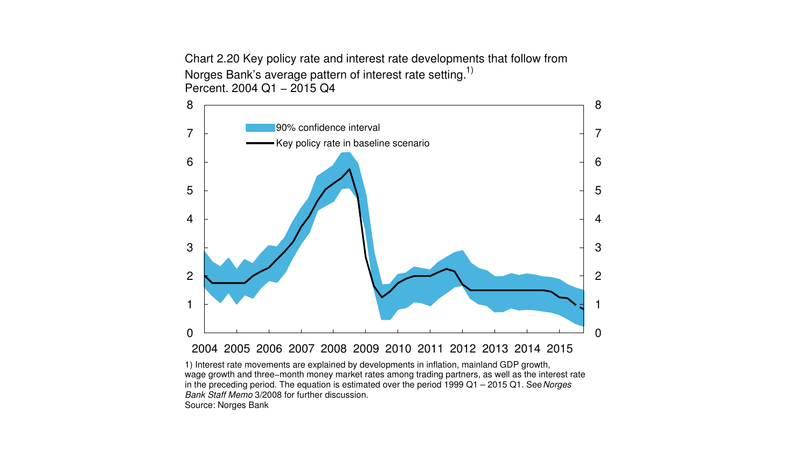Chart 2.20 Key policy rate and interest rate developments that follow from Norges Bank's average pattern of interest rate setting.<sup>1)</sup> Percent. 2004 Q1 − 2015 Q4



Bank Staff Memo 3/2008 for further discussion. Source: Norges Bank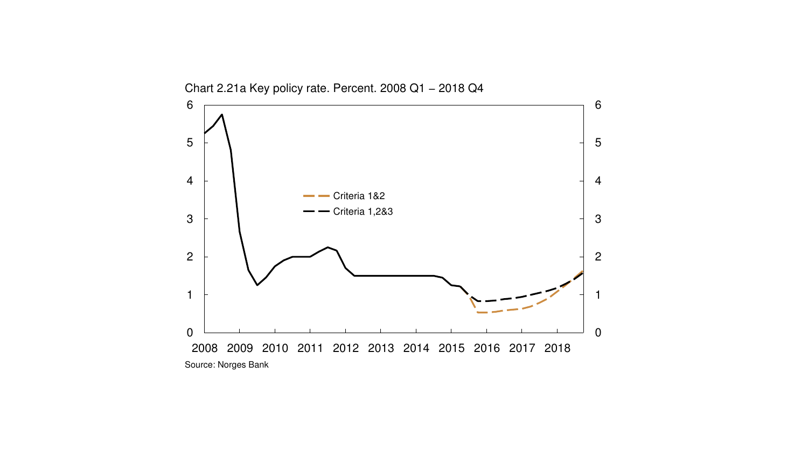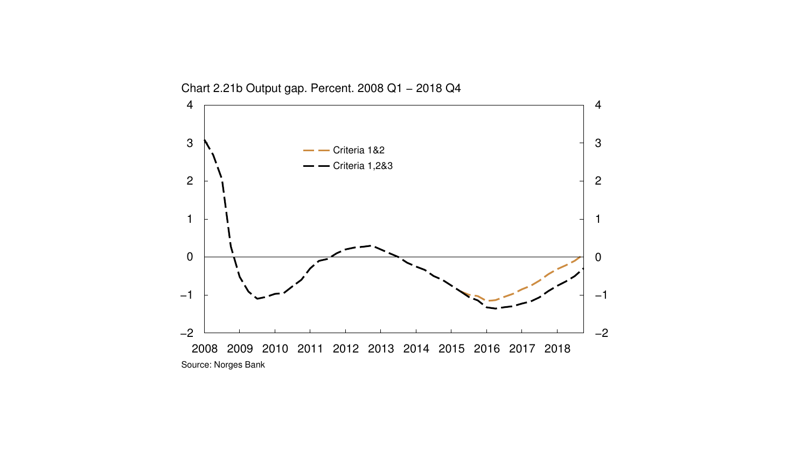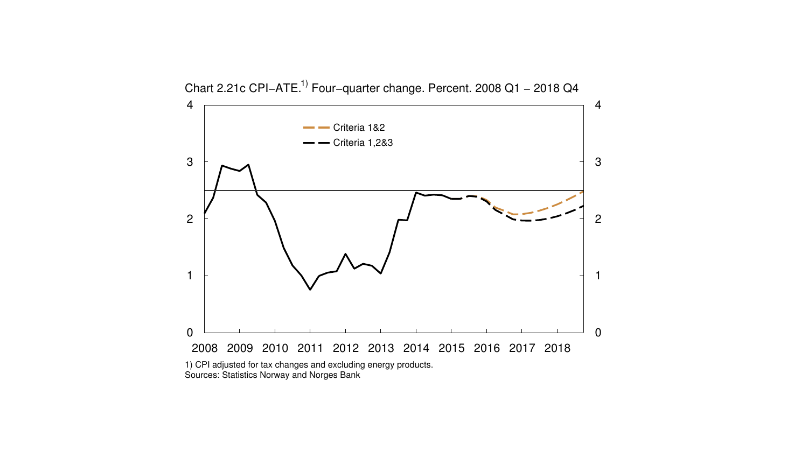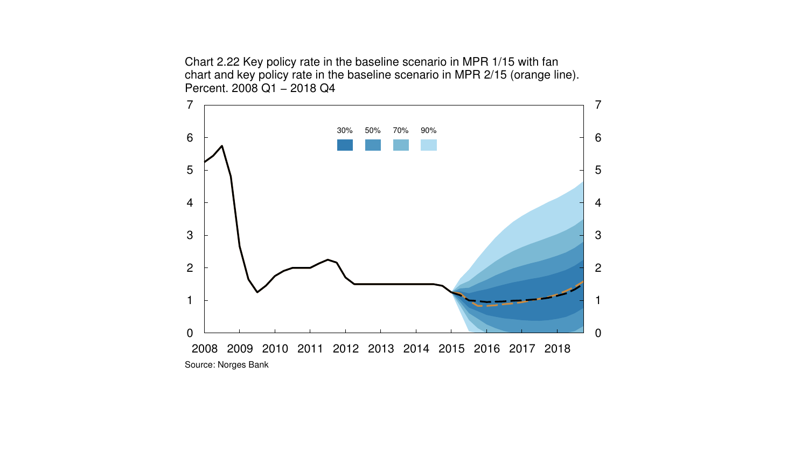Chart 2.22 Key policy rate in the baseline scenario in MPR 1/15 with fan chart and key policy rate in the baseline scenario in MPR 2/15 (orange line). Percent. 2008 Q1 - 2018 Q4

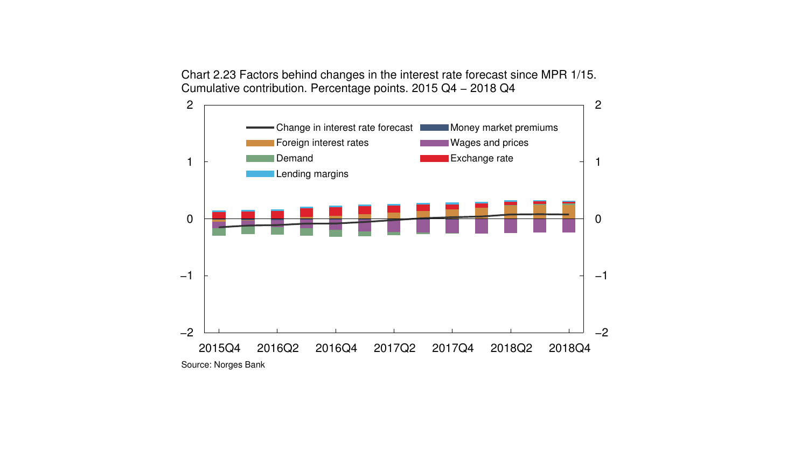Chart 2.23 Factors behind changes in the interest rate forecast since MPR 1/15. Cumulative contribution. Percentage points. 2015 Q4 − 2018 Q4

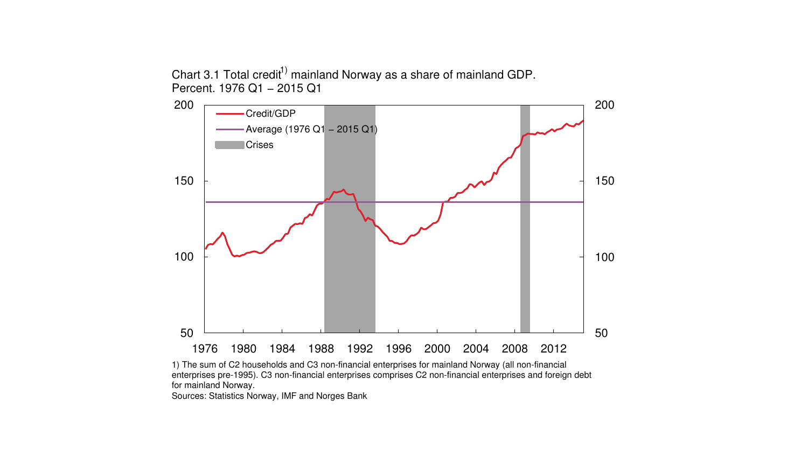Chart 3.1 Total credit<sup>1)</sup> mainland Norway as a share of mainland GDP. Percent. 1976 Q1 − 2015 Q1



1) The sum of C2 households and C3 non-financial enterprises for mainland Norway (all non-financial enterprises pre-1995). C3 non-financial enterprises comprises C2 non-financial enterprises and foreign debt for mainland Norway.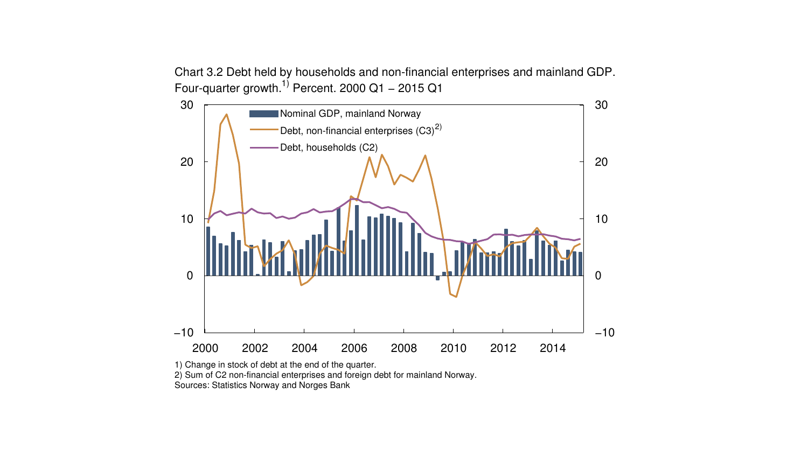



1) Change in stock of debt at the end of the quarter.

2) Sum of C2 non-financial enterprises and foreign debt for mainland Norway.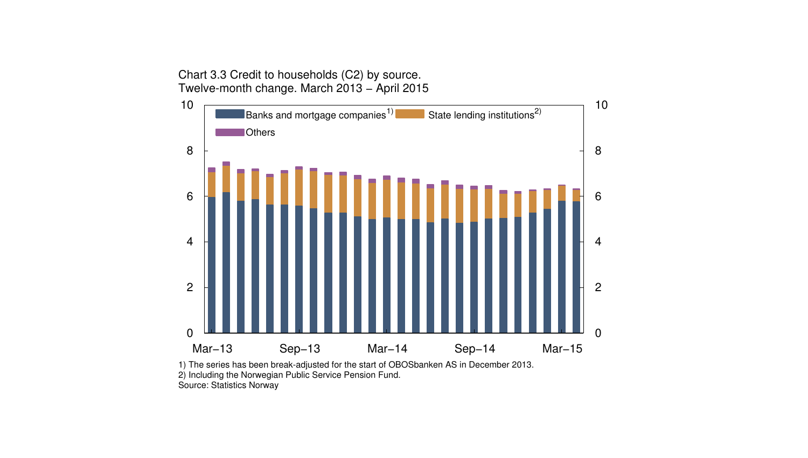Chart 3.3 Credit to households (C2) by source. Twelve-month change. March 2013 − April 2015



1) The series has been break-adjusted for the start of OBOSbanken AS in December 2013. 2) Including the Norwegian Public Service Pension Fund. Source: Statistics Norway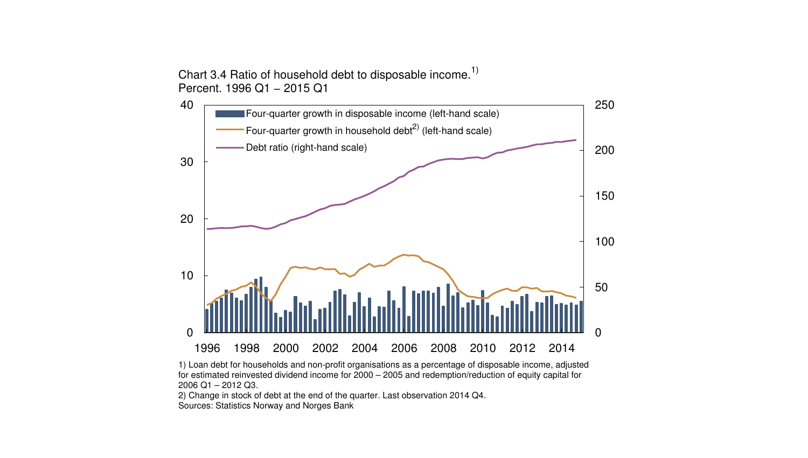Chart 3.4 Ratio of household debt to disposable income.<sup>1)</sup> Percent. 1996 Q1 - 2015 Q1





2) Change in stock of debt at the end of the quarter. Last observation 2014 Q4. Sources: Statistics Norway and Norges Bank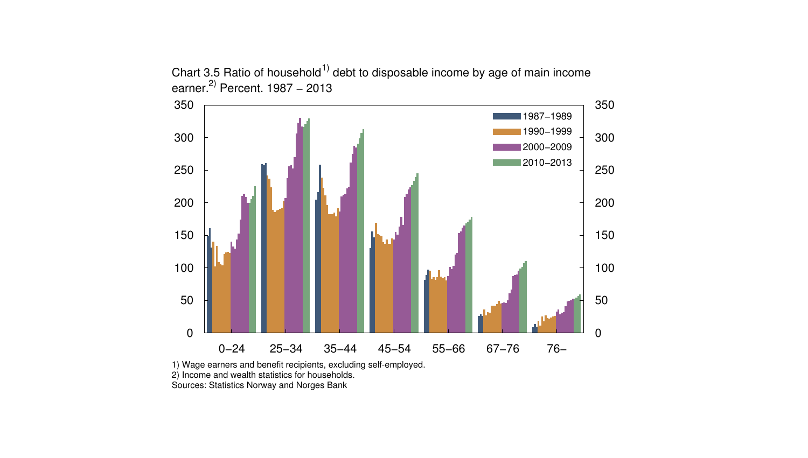

Chart 3.5 Ratio of household<sup>1)</sup> debt to disposable income by age of main income earner.<sup>2)</sup> Percent. 1987 – 2013

1) Wage earners and benefit recipients, excluding self-employed. 2) Income and wealth statistics for households. Sources: Statistics Norway and Norges Bank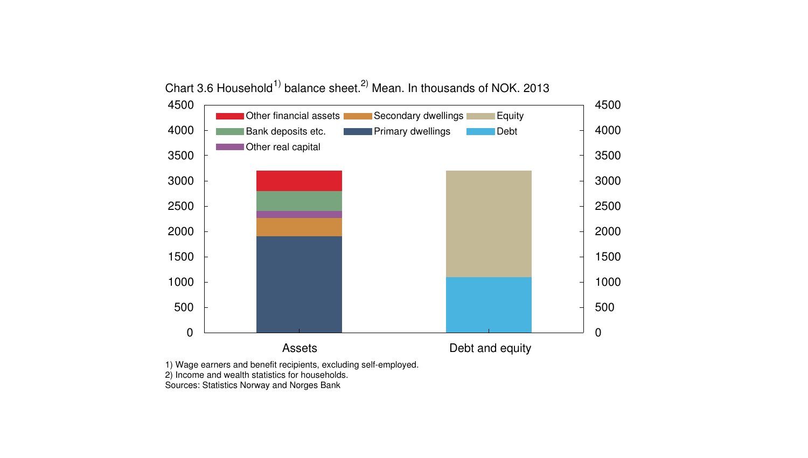

Chart 3.6 Household<sup>1)</sup> balance sheet.<sup>2)</sup> Mean. In thousands of NOK. 2013

1) Wage earners and benefit recipients, excluding self-employed.

2) Income and wealth statistics for households.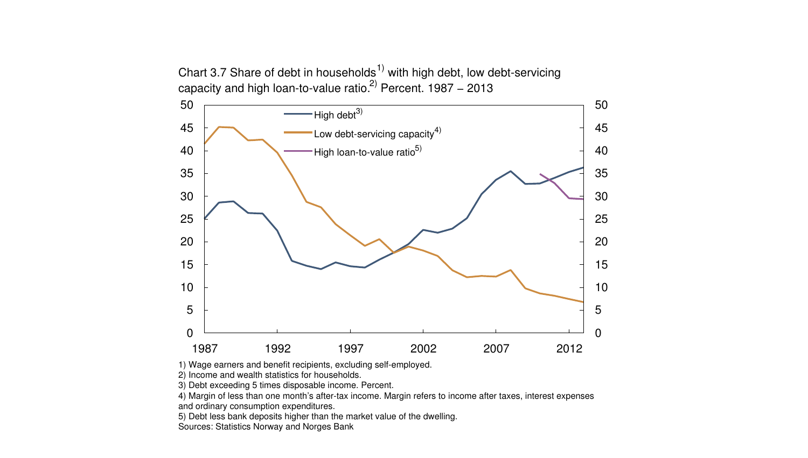Chart 3.7 Share of debt in households<sup>1)</sup> with high debt, low debt-servicing capacity and high loan-to-value ratio.<sup>2)</sup> Percent. 1987 – 2013



1) Wage earners and benefit recipients, excluding self-employed.

2) Income and wealth statistics for households.

3) Debt exceeding 5 times disposable income. Percent.

4) Margin of less than one month's after-tax income. Margin refers to income after taxes, interest expenses and ordinary consumption expenditures.

5) Debt less bank deposits higher than the market value of the dwelling.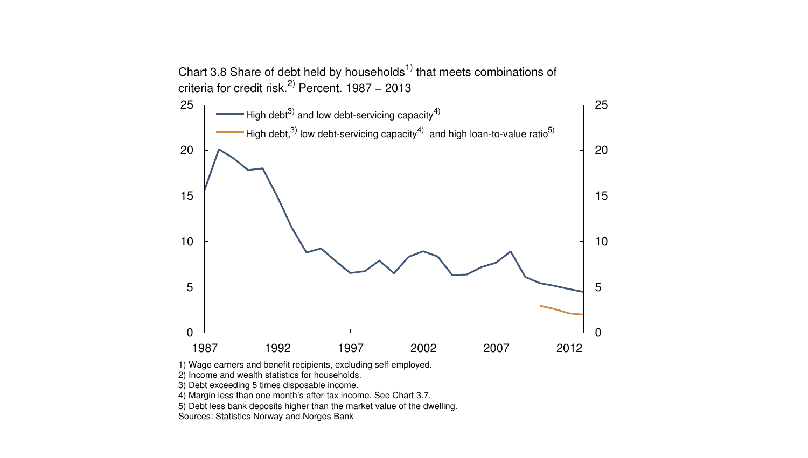Chart 3.8 Share of debt held by households<sup>1)</sup> that meets combinations of criteria for credit risk. $^{2)}$  Percent. 1987 – 2013



1) Wage earners and benefit recipients, excluding self-employed.

2) Income and wealth statistics for households.

3) Debt exceeding 5 times disposable income.

4) Margin less than one month's after-tax income. See Chart 3.7.

5) Debt less bank deposits higher than the market value of the dwelling.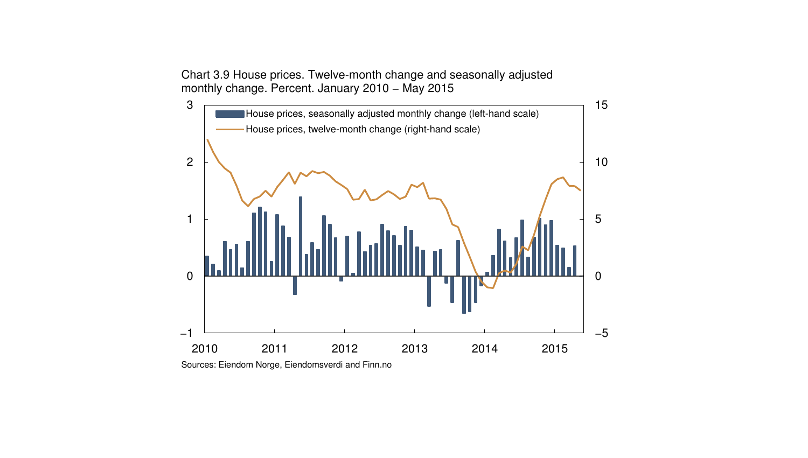Chart 3.9 House prices. Twelve-month change and seasonally adjusted monthly change. Percent. January 2010 − May 2015



Sources: Eiendom Norge, Eiendomsverdi and Finn.no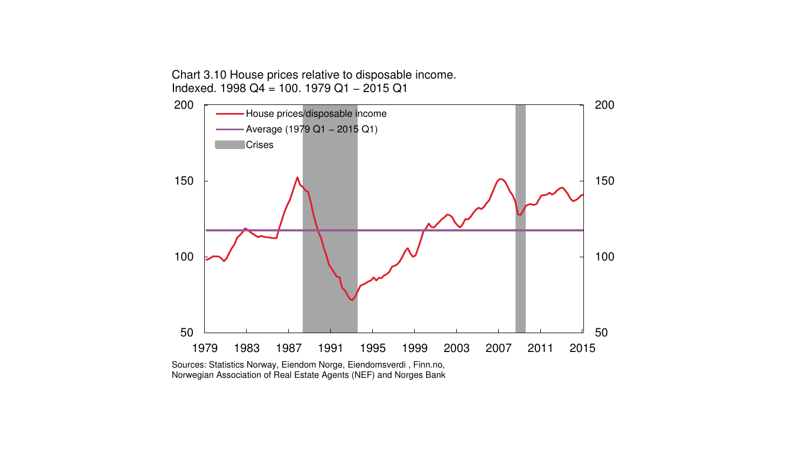Chart 3.10 House prices relative to disposable income. Indexed. 1998 Q4 = 100. 1979 Q1 − 2015 Q1



Norwegian Association of Real Estate Agents (NEF) and Norges Bank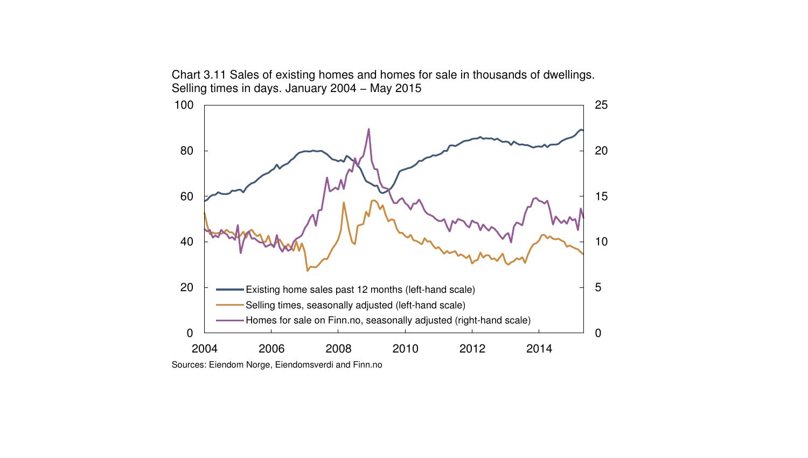Chart 3.11 Sales of existing homes and homes for sale in thousands of dwellings. Selling times in days. January 2004 - May 2015



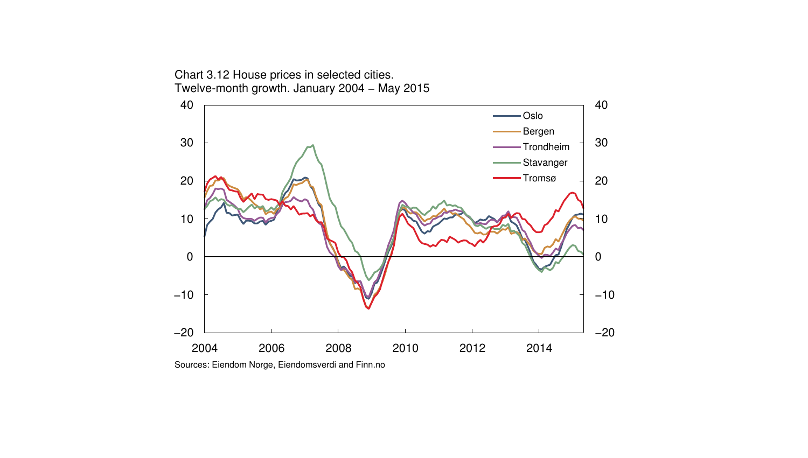

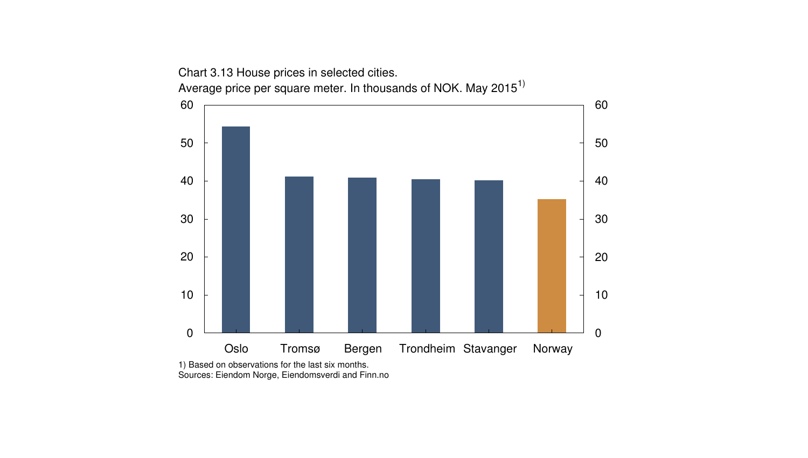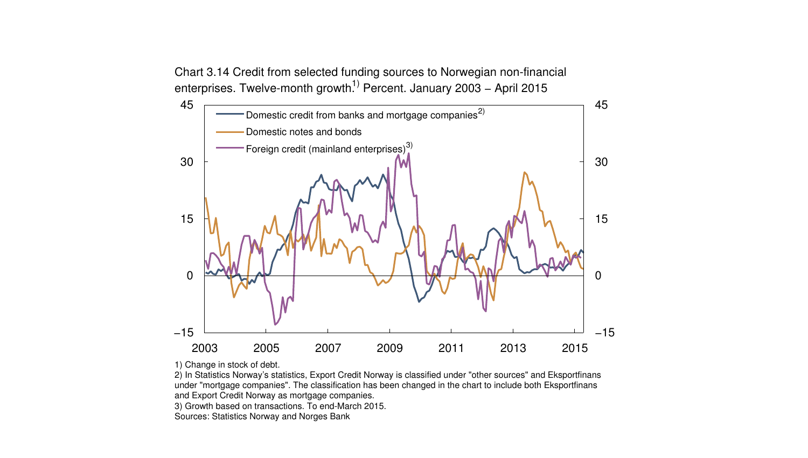Chart 3.14 Credit from selected funding sources to Norwegian non-financial enterprises. Twelve-month growth<sup>1)</sup> Percent. January 2003 – April 2015



1) Change in stock of debt.

2) In Statistics Norway's statistics, Export Credit Norway is classified under "other sources" and Eksportfinans under "mortgage companies". The classification has been changed in the chart to include both Eksportfinans and Export Credit Norway as mortgage companies.

3) Growth based on transactions. To end-March 2015.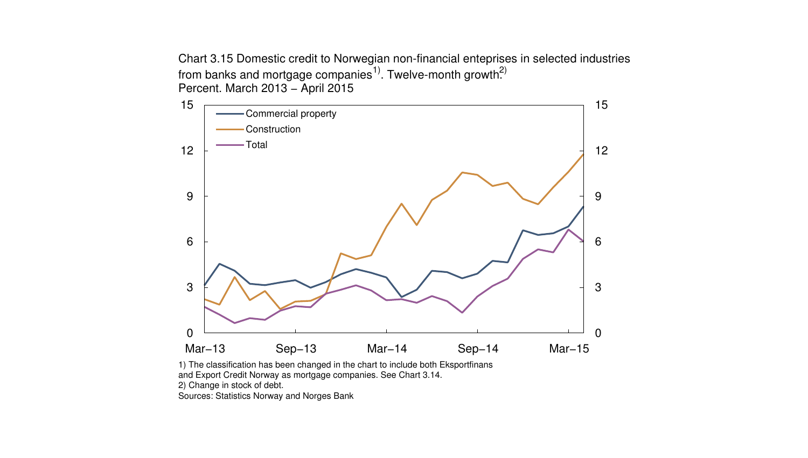Chart 3.15 Domestic credit to Norwegian non-financial enteprises in selected industries from banks and mortgage companies<sup>1)</sup>. Twelve-month growth<sup>2)</sup> Percent. March 2013 − April 2015



1) The classification has been changed in the chart to include both Eksportfinans and Export Credit Norway as mortgage companies. See Chart 3.14. 2) Change in stock of debt.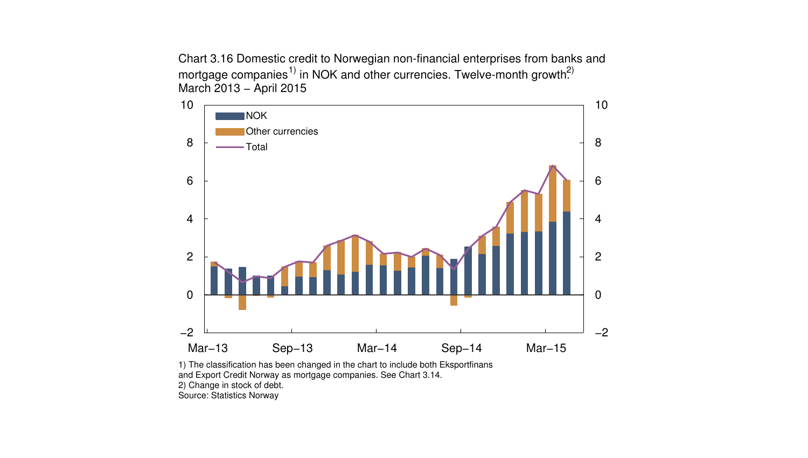Chart 3.16 Domestic credit to Norwegian non-financial enterprises from banks and mortgage companies<sup>1)</sup> in NOK and other currencies. Twelve-month growth<sup>2)</sup> March 2013 − April 2015



1) The classification has been changed in the chart to include both Eksportfinans and Export Credit Norway as mortgage companies. See Chart 3.14. 2) Change in stock of debt.

Source: Statistics Norway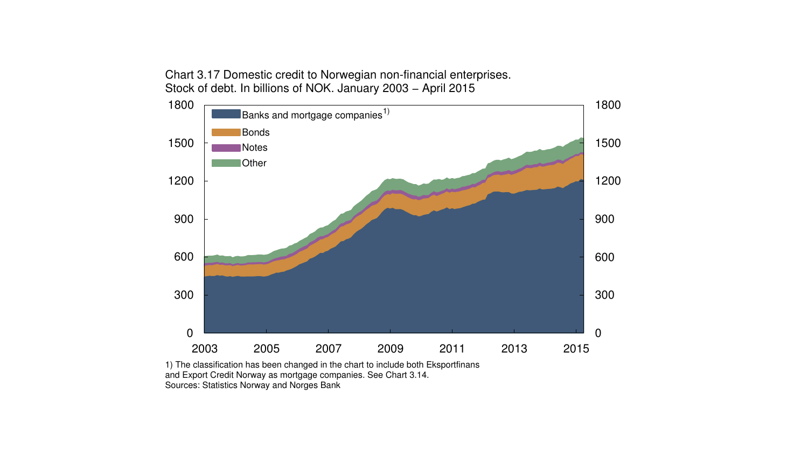Chart 3.17 Domestic credit to Norwegian non-financial enterprises. Stock of debt. In billions of NOK. January 2003 − April 2015



1) The classification has been changed in the chart to include both Eksportfinans and Export Credit Norway as mortgage companies. See Chart 3.14. Sources: Statistics Norway and Norges Bank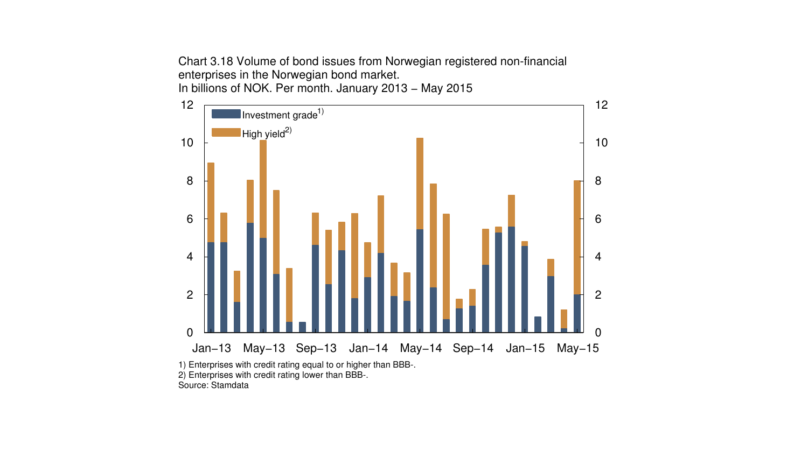Chart 3.18 Volume of bond issues from Norwegian registered non-financial enterprises in the Norwegian bond market. In billions of NOK. Per month. January 2013 − May 2015

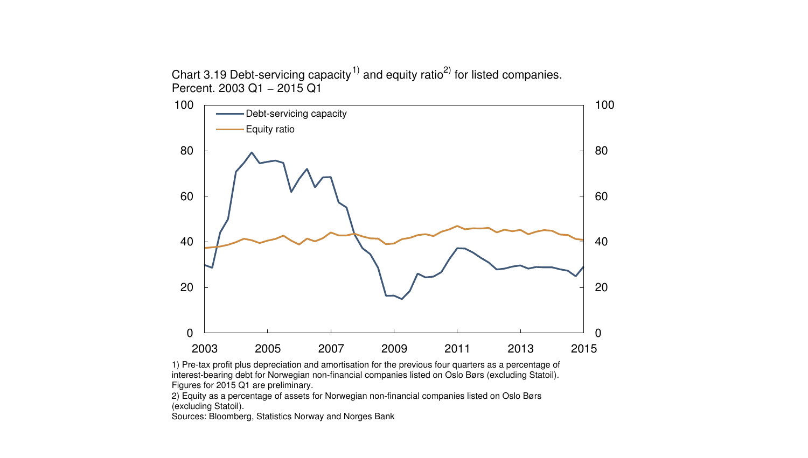Chart 3.19 Debt-servicing capacity<sup>1)</sup> and equity ratio<sup>2)</sup> for listed companies. Percent. 2003 Q1 − 2015 Q1



1) Pre-tax profit plus depreciation and amortisation for the previous four quarters as a percentage of interest-bearing debt for Norwegian non-financial companies listed on Oslo Børs (excluding Statoil). Figures for 2015 Q1 are preliminary.

2) Equity as a percentage of assets for Norwegian non-financial companies listed on Oslo Børs (excluding Statoil).

Sources: Bloomberg, Statistics Norway and Norges Bank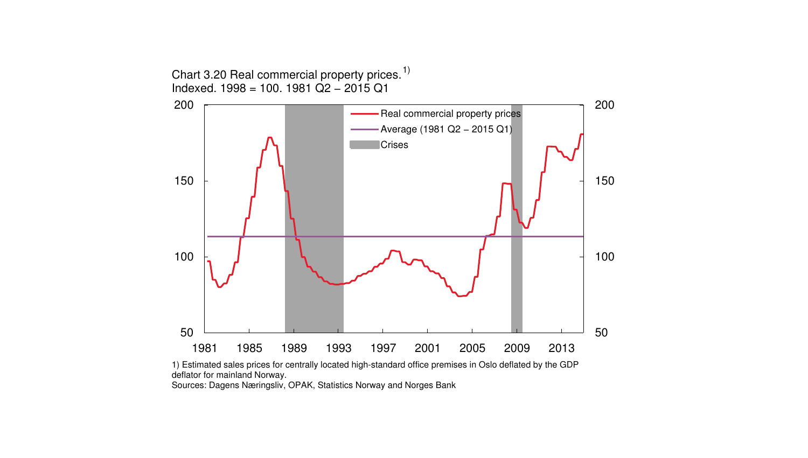

1) Estimated sales prices for centrally located high-standard office premises in Oslo deflated by the GDP deflator for mainland Norway.

Sources: Dagens Næringsliv, OPAK, Statistics Norway and Norges Bank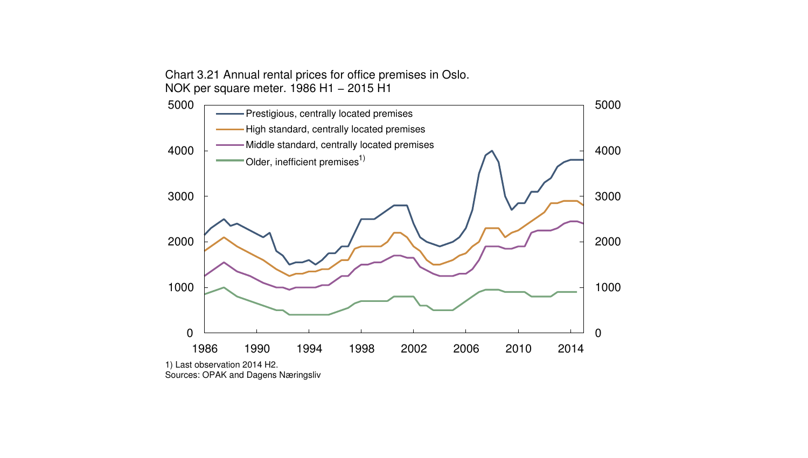Chart 3.21 Annual rental prices for office premises in Oslo. NOK per square meter. 1986 H1 − 2015 H1



Sources: OPAK and Dagens Næringsliv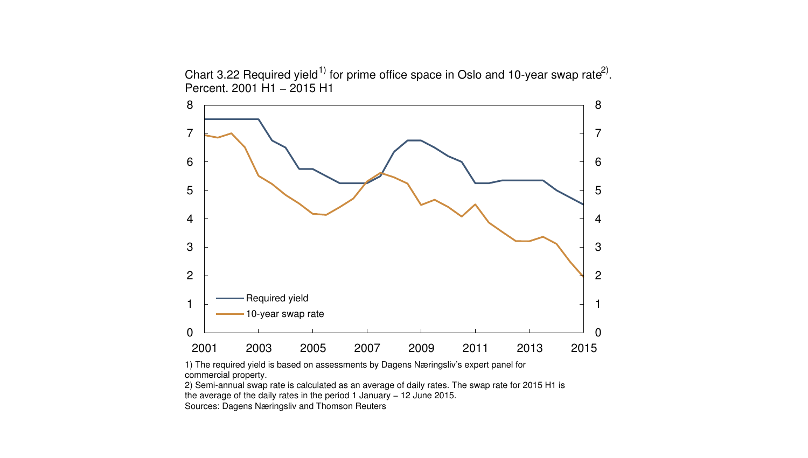Chart 3.22 Required yield<sup>1)</sup> for prime office space in Oslo and 10-year swap rate<sup>2)</sup>. Percent. 2001 H1 − 2015 H1



1) The required yield is based on assessments by Dagens Næringsliv's expert panel for commercial property.

2) Semi-annual swap rate is calculated as an average of daily rates. The swap rate for 2015 H1 is

the average of the daily rates in the period 1 January − 12 June 2015.

Sources: Dagens Næringsliv and Thomson Reuters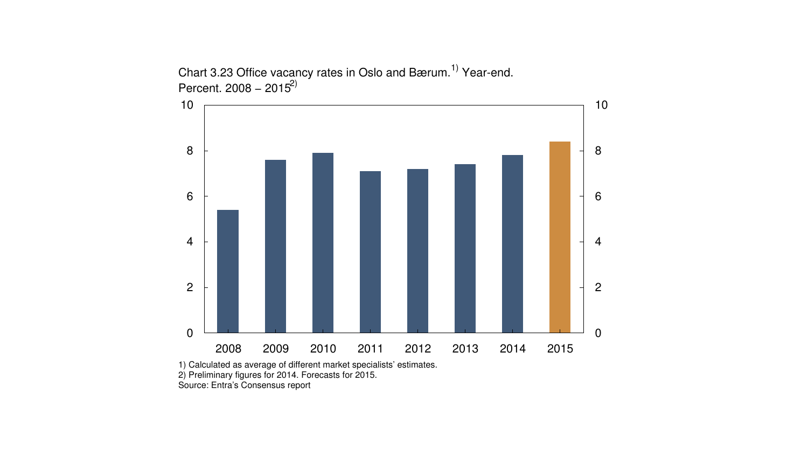

Chart 3.23 Office vacancy rates in Oslo and Bærum.<sup>1)</sup> Year-end. Percent. 2008 – 2015)

1) Calculated as average of different market specialists' estimates. 2) Preliminary figures for 2014. Forecasts for 2015.

Source: Entra's Consensus report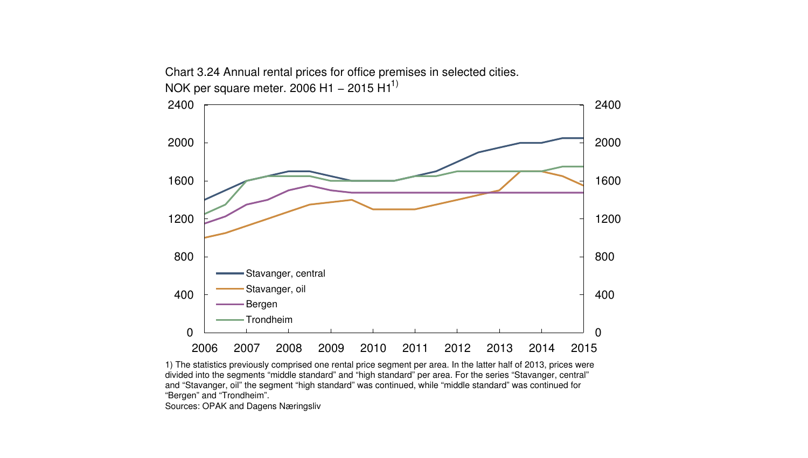

Chart 3.24 Annual rental prices for office premises in selected cities. NOK per square meter. 2006 H1 – 2015 H1<sup>1)</sup>

1) The statistics previously comprised one rental price segment per area. In the latter half of 2013, prices were divided into the segments "middle standard" and "high standard" per area. For the series "Stavanger, central" and "Stavanger, oil" the segment "high standard" was continued, while "middle standard" was continued for "Bergen" and "Trondheim".

Sources: OPAK and Dagens Næringsliv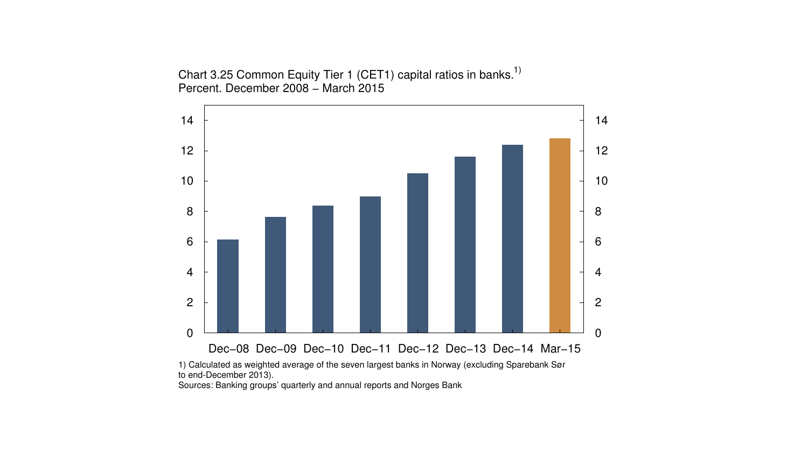Chart 3.25 Common Equity Tier 1 (CET1) capital ratios in banks.<sup>1)</sup> Percent. December 2008 − March 2015



Sources: Banking groups' quarterly and annual reports and Norges Bank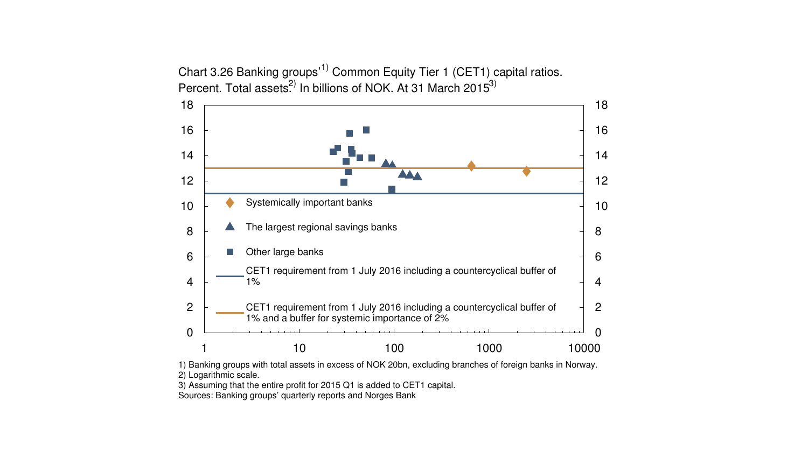Chart 3.26 Banking groups<sup>1)</sup> Common Equity Tier 1 (CET1) capital ratios. Percent. Total assets<sup>2)</sup> In billions of NOK. At 31 March 2015<sup>3)</sup>



2) Logarithmic scale.

3) Assuming that the entire profit for 2015 Q1 is added to CET1 capital.

Sources: Banking groups' quarterly reports and Norges Bank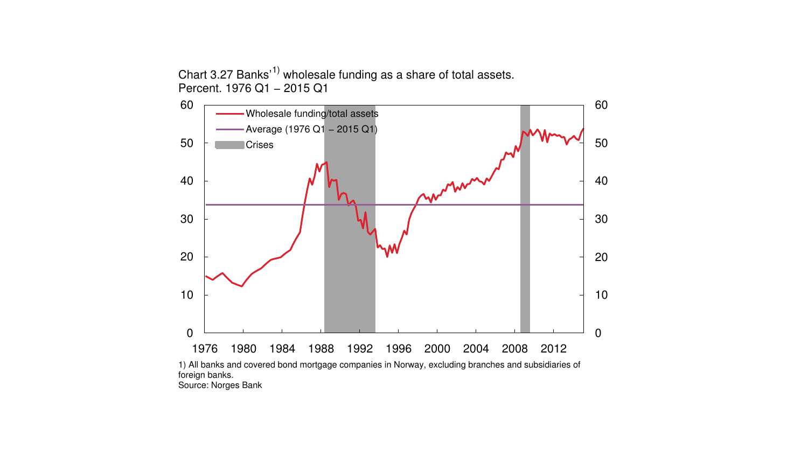Chart 3.27 Banks<sup>'1)</sup> wholesale funding as a share of total assets. Percent. 1976 Q1 − 2015 Q1



Source: Norges Bank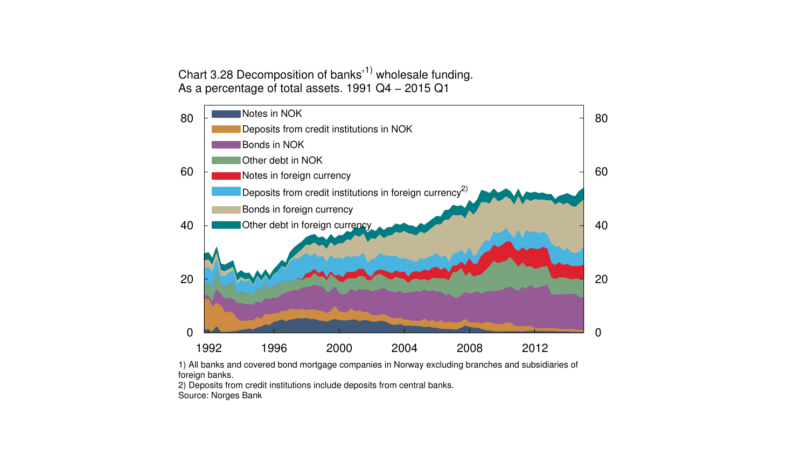Chart 3.28 Decomposition of banks<sup> $(1)$ </sup> wholesale funding. As a percentage of total assets. 1991 Q4 − 2015 Q1



1) All banks and covered bond mortgage companies in Norway excluding branches and subsidiaries of foreign banks.

2) Deposits from credit institutions include deposits from central banks. Source: Norges Bank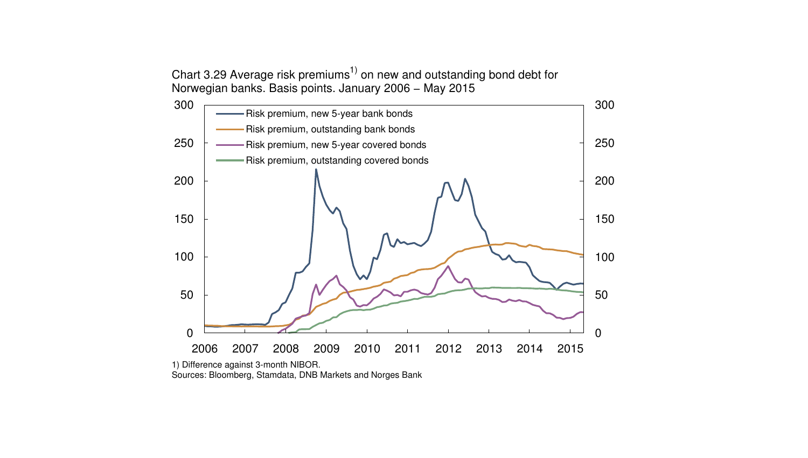Chart 3.29 Average risk premiums<sup>1)</sup> on new and outstanding bond debt for Norwegian banks. Basis points. January 2006 − May 2015



Sources: Bloomberg, Stamdata, DNB Markets and Norges Bank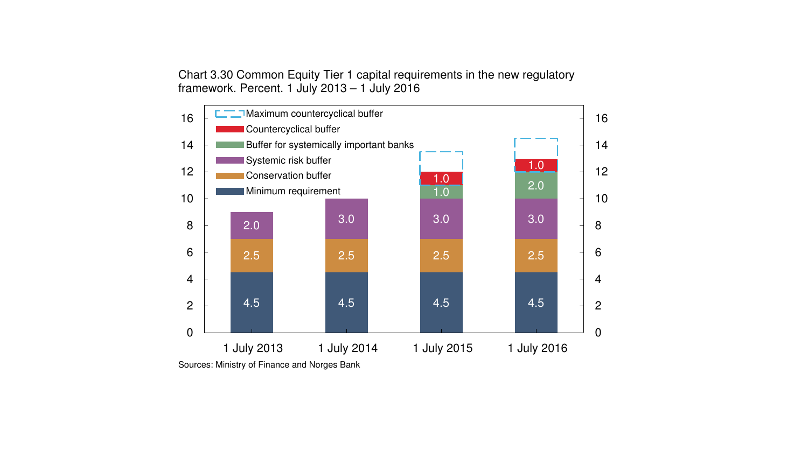Chart 3.30 Common Equity Tier 1 capital requirements in the new regulatory framework. Percent. 1 July 2013 – 1 July 2016

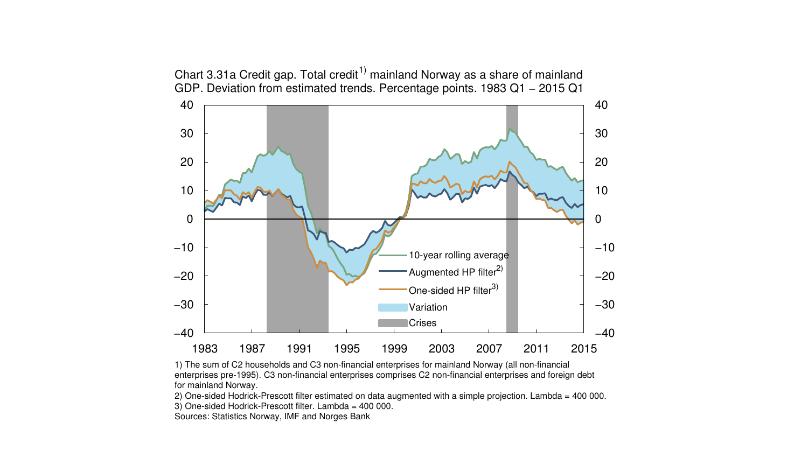

1) The sum of C2 households and C3 non-financial enterprises for mainland Norway (all non-financial enterprises pre-1995). C3 non-financial enterprises comprises C2 non-financial enterprises and foreign debt for mainland Norway.

2) One-sided Hodrick-Prescott filter estimated on data augmented with a simple projection. Lambda = 400 000.

3) One-sided Hodrick-Prescott filter. Lambda = 400 000.

Sources: Statistics Norway, IMF and Norges Bank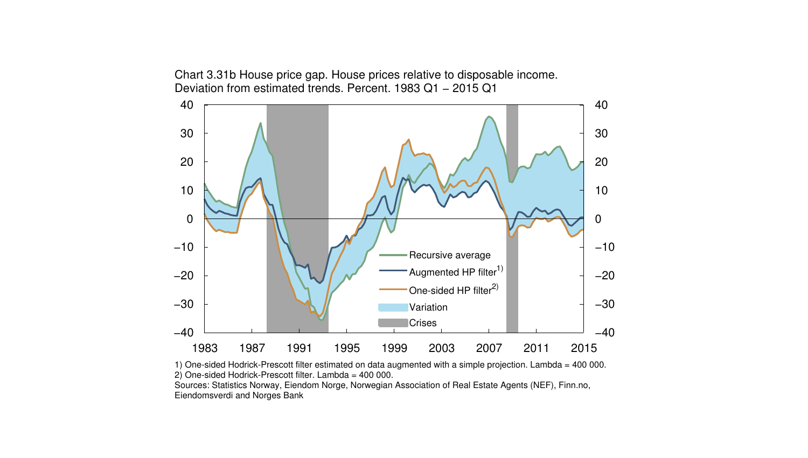−30 −20  $-10$ 0 10 20 30 40 −30 −20 −10 0 10 20 30 40 Recursive average Augmented HP filter<sup>1)</sup> One-sided HP filter<sup>2)</sup> Variation Crises

Chart 3.31b House price gap. House prices relative to disposable income. Deviation from estimated trends. Percent. 1983 Q1 − 2015 Q1



1983 1987 1991 1995 1999 2003 2007 2011 2015

−40

Eiendomsverdi and Norges Bank

−40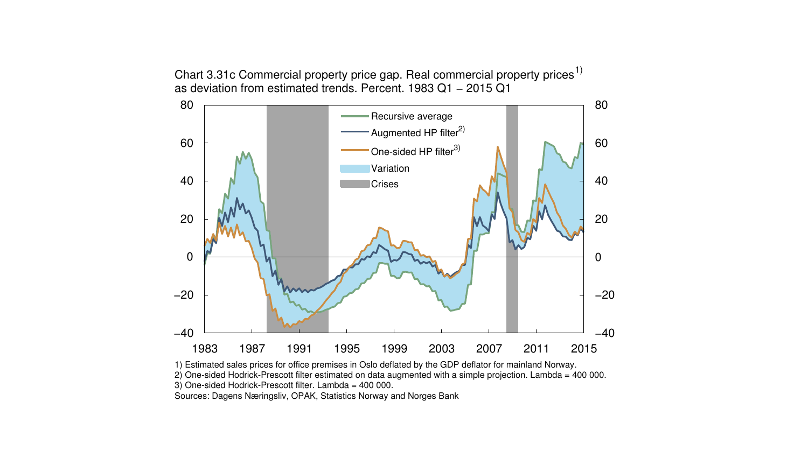Chart 3.31c Commercial property price gap. Real commercial property prices<sup>1)</sup> as deviation from estimated trends. Percent. 1983 Q1 − 2015 Q1



1) Estimated sales prices for office premises in Oslo deflated by the GDP deflator for mainland Norway.

2) One-sided Hodrick-Prescott filter estimated on data augmented with a simple projection. Lambda = 400 000.

3) One-sided Hodrick-Prescott filter. Lambda = 400 000.

Sources: Dagens Næringsliv, OPAK, Statistics Norway and Norges Bank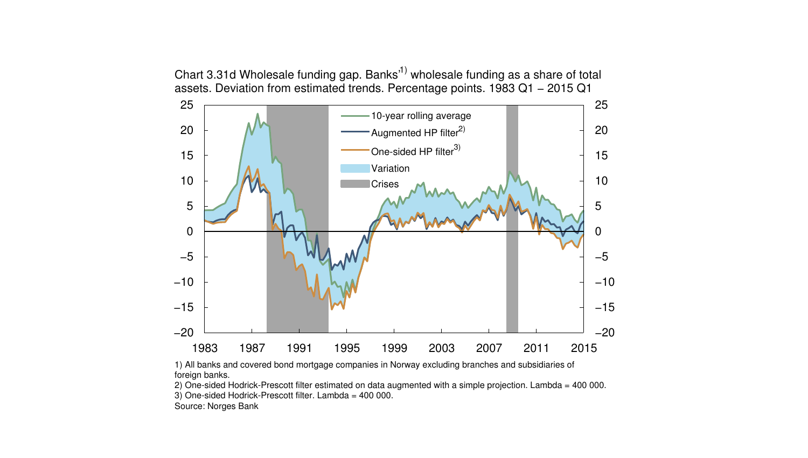Chart 3.31d Wholesale funding gap. Banks<sup>1)</sup> wholesale funding as a share of total assets. Deviation from estimated trends. Percentage points. 1983 Q1 − 2015 Q1



1) All banks and covered bond mortgage companies in Norway excluding branches and subsidiaries of foreign banks.

2) One-sided Hodrick-Prescott filter estimated on data augmented with a simple projection. Lambda = 400 000. 3) One-sided Hodrick-Prescott filter. Lambda = 400 000.

Source: Norges Bank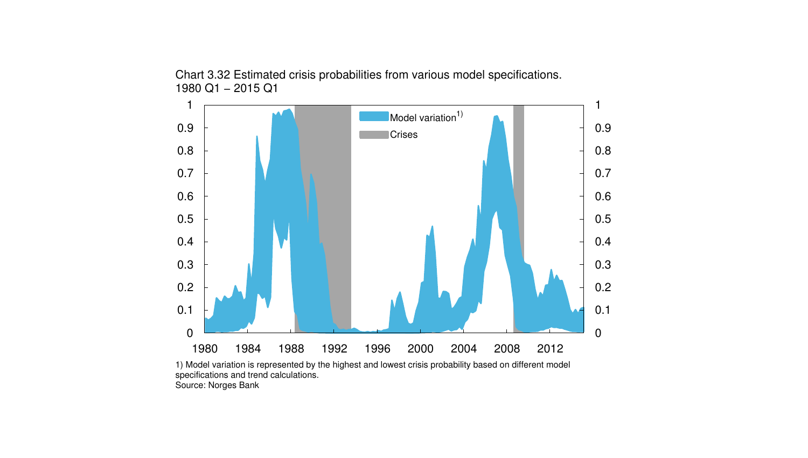

Chart 3.32 Estimated crisis probabilities from various model specifications. 1980 Q1 − 2015 Q1

1) Model variation is represented by the highest and lowest crisis probability based on different model specifications and trend calculations. Source: Norges Bank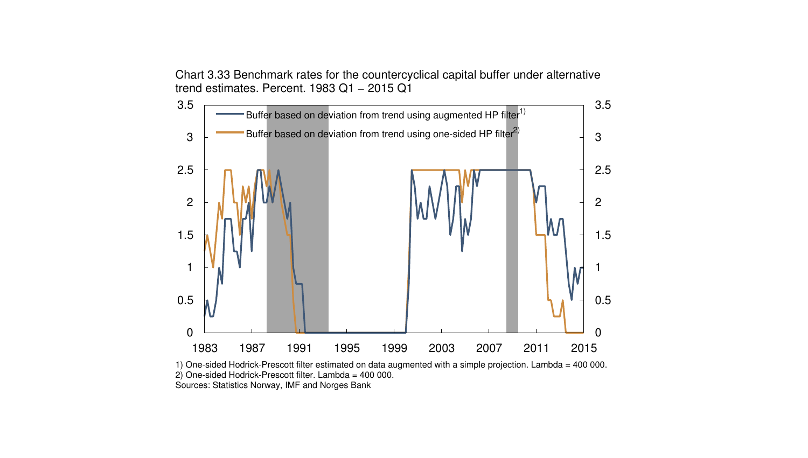Chart 3.33 Benchmark rates for the countercyclical capital buffer under alternative trend estimates. Percent. 1983 Q1 − 2015 Q1



1) One-sided Hodrick-Prescott filter estimated on data augmented with a simple projection. Lambda = 400 000. 2) One-sided Hodrick-Prescott filter. Lambda = 400 000. Sources: Statistics Norway, IMF and Norges Bank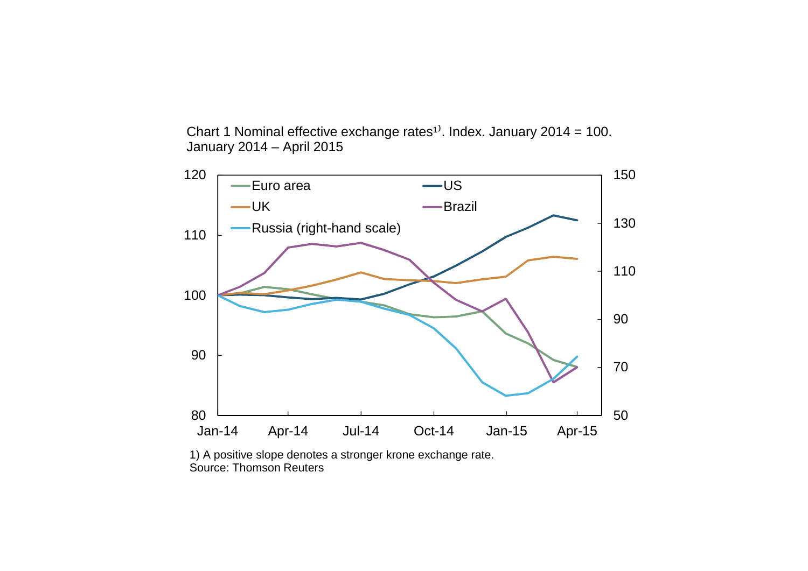Chart 1 Nominal effective exchange rates<sup>1)</sup>. Index. January 2014 = 100. January 2014 – April 2015



1) A positive slope denotes a stronger krone exchange rate. Source: Thomson Reuters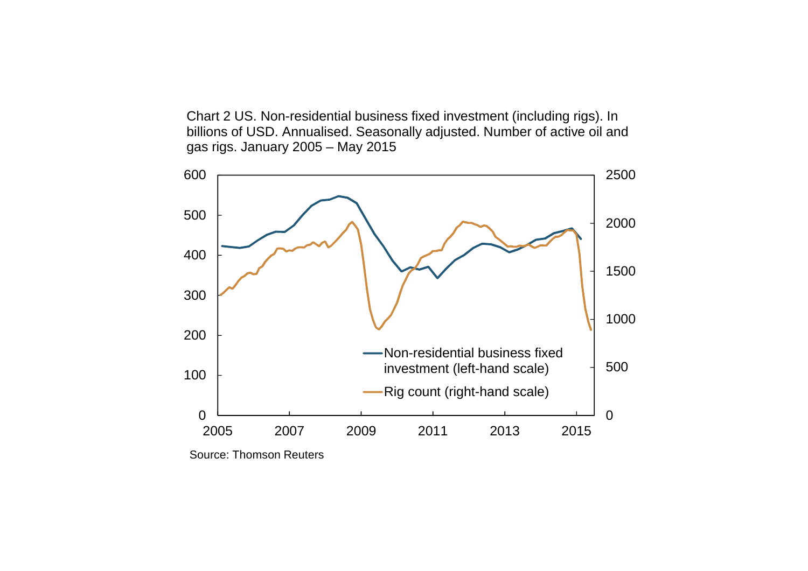Chart 2 US. Non-residential business fixed investment (including rigs). In billions of USD. Annualised. Seasonally adjusted. Number of active oil and gas rigs. January 2005 – May 2015



Source: Thomson Reuters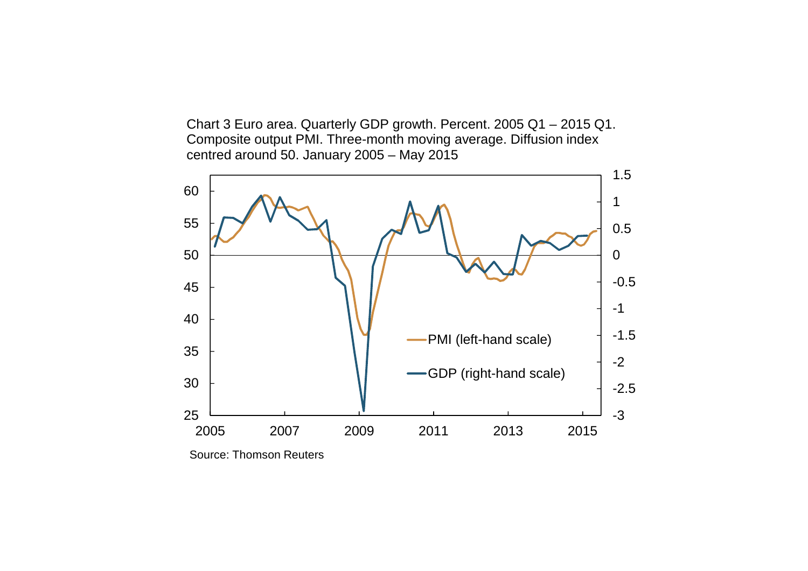Chart 3 Euro area. Quarterly GDP growth. Percent. 2005 Q1 – 2015 Q1. Composite output PMI. Three-month moving average. Diffusion index centred around 50. January 2005 – May 2015



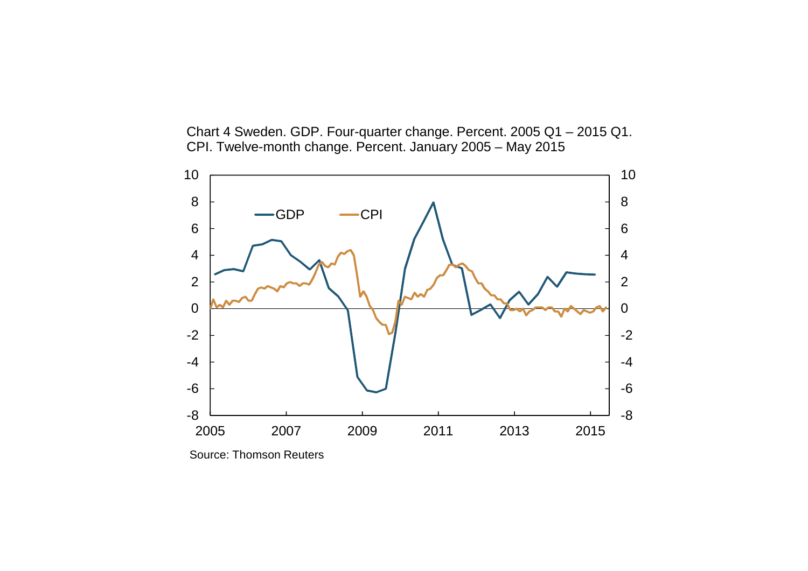Chart 4 Sweden. GDP. Four-quarter change. Percent. 2005 Q1 – 2015 Q1. CPI. Twelve-month change. Percent. January 2005 – May 2015



Source: Thomson Reuters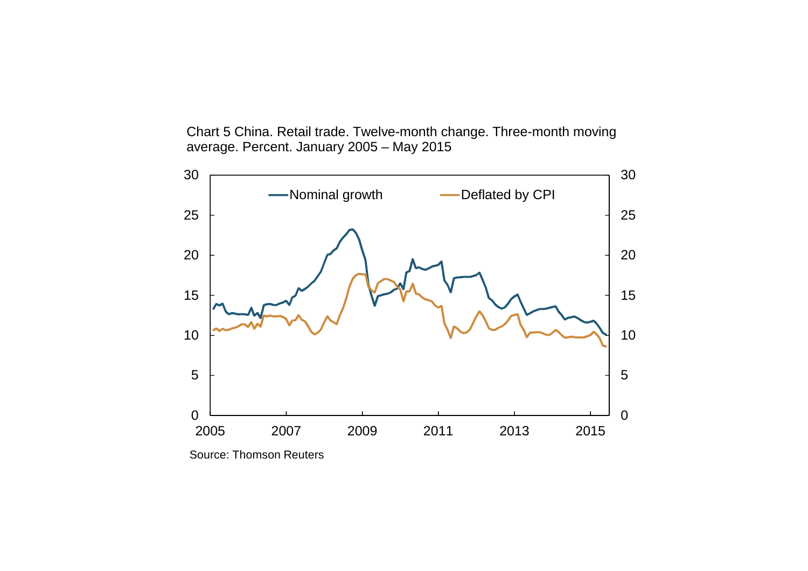Chart 5 China. Retail trade. Twelve-month change. Three-month moving average. Percent. January 2005 – May 2015



Source: Thomson Reuters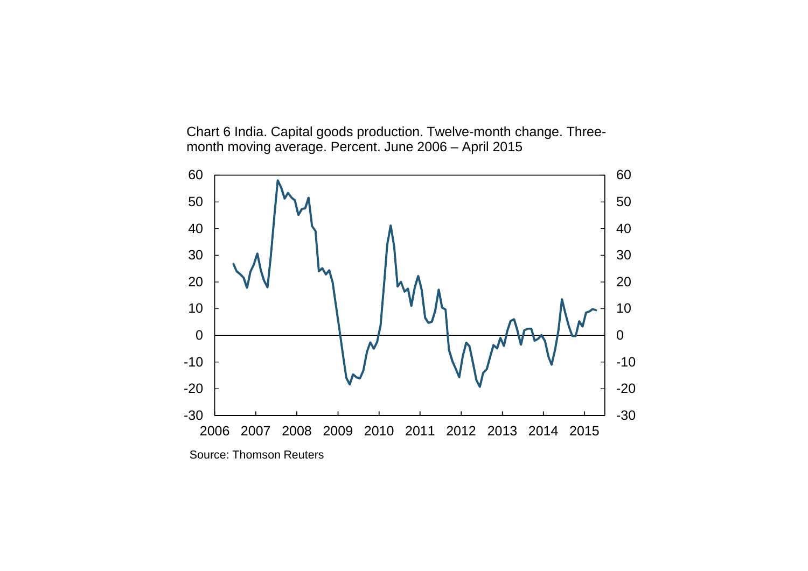Chart 6 India. Capital goods production. Twelve-month change. Threemonth moving average. Percent. June 2006 – April 2015

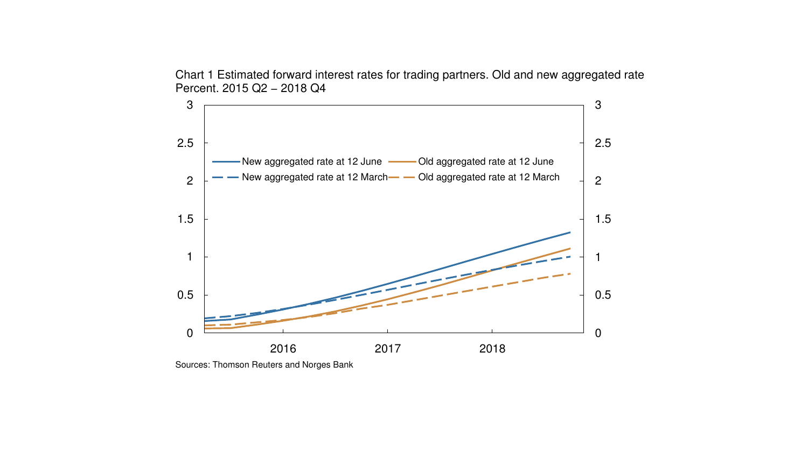Chart 1 Estimated forward interest rates for trading partners. Old and new aggregated rate Percent. 2015 Q2 − 2018 Q4



Sources: Thomson Reuters and Norges Bank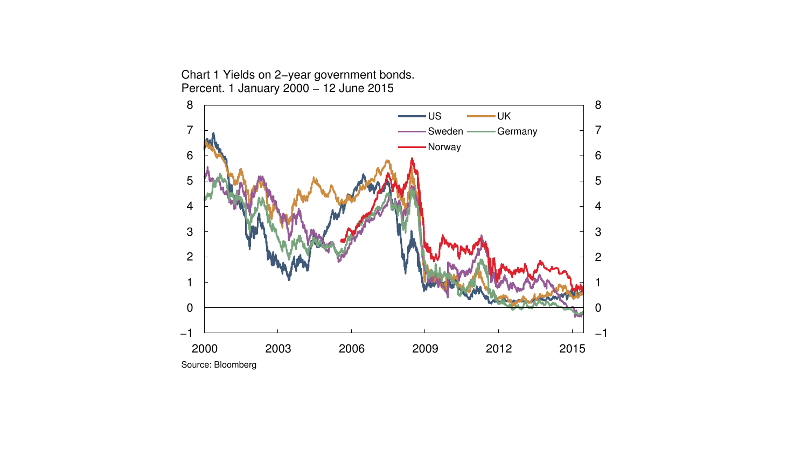2000 2003 2006 2009 2012 2015 −1 −1 Source: Bloomberg  $-US$  UK Sweden **- Germany** Norway

Chart 1 Yields on 2−year government bonds. Percent. 1 January 2000 − 12 June 2015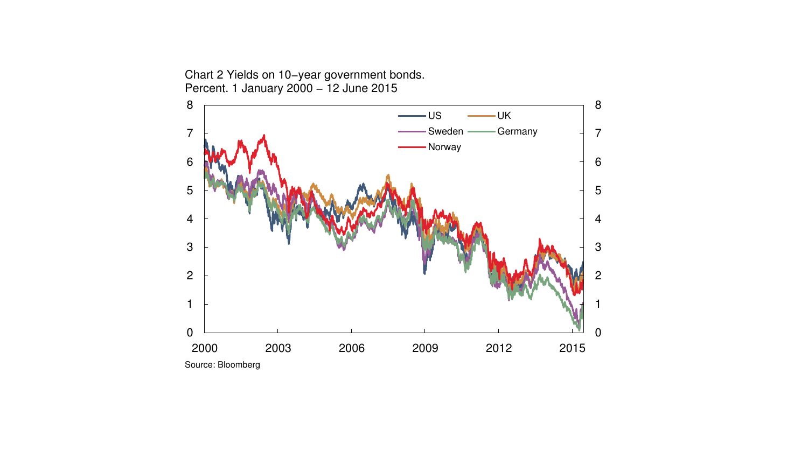

Chart 2 Yields on 10−year government bonds. Percent. 1 January 2000 − 12 June 2015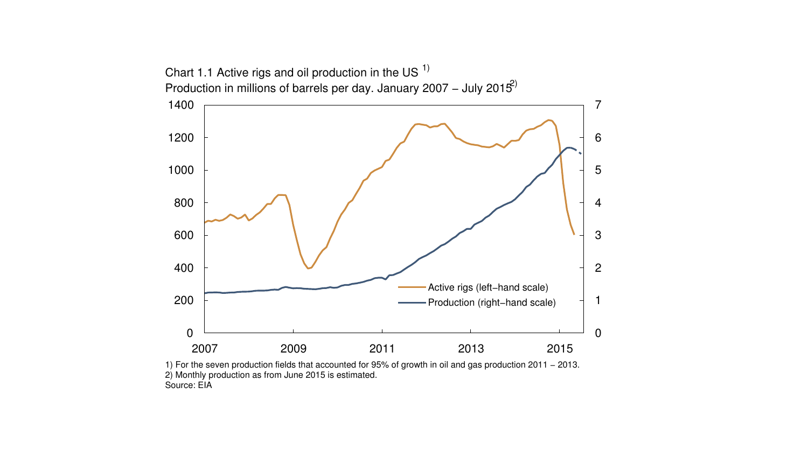

1) For the seven production fields that accounted for 95% of growth in oil and gas production 2011 − 2013. 2) Monthly production as from June 2015 is estimated. Source: EIA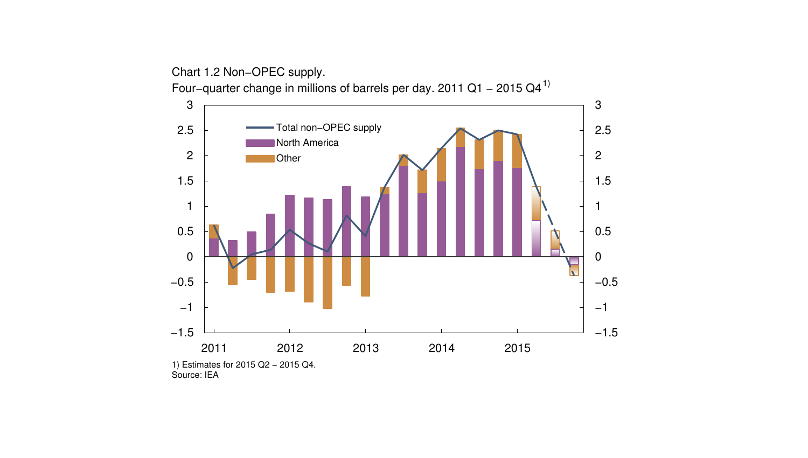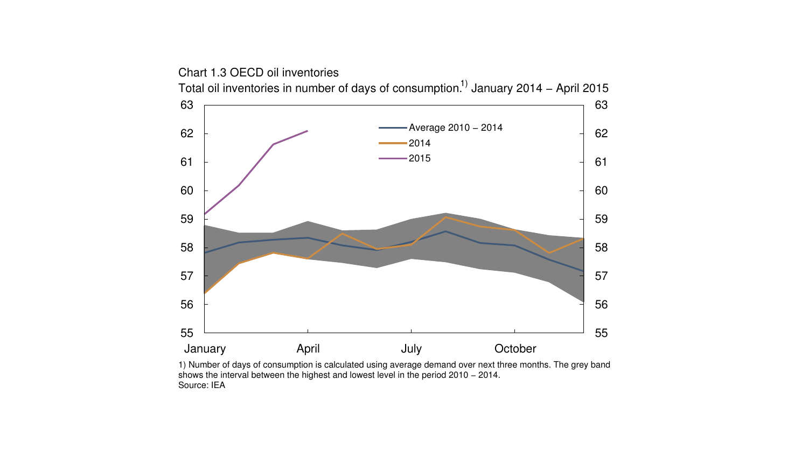January **April** April **July** October Total oil inventories in number of days of consumption.<sup>1)</sup> January 2014 – April 2015 Average 2010 − 2014 

1) Number of days of consumption is calculated using average demand over next three months. The grey band shows the interval between the highest and lowest level in the period 2010 − 2014. Source: IEA

Chart 1.3 OECD oil inventories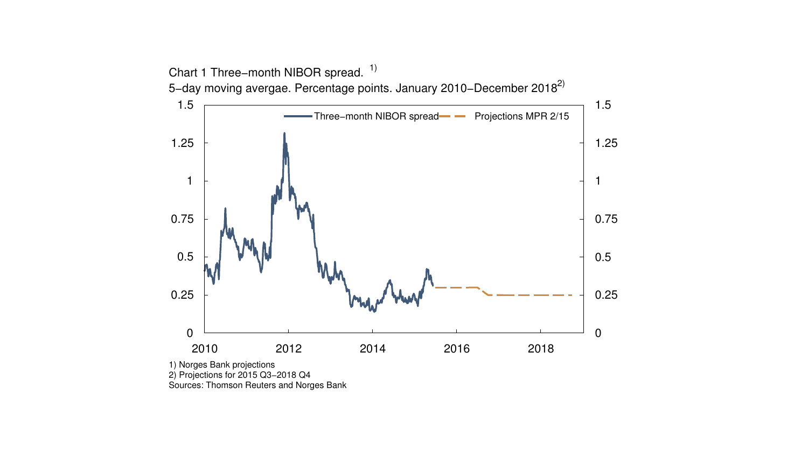

2) Projections for 2015 Q3−2018 Q4

Sources: Thomson Reuters and Norges Bank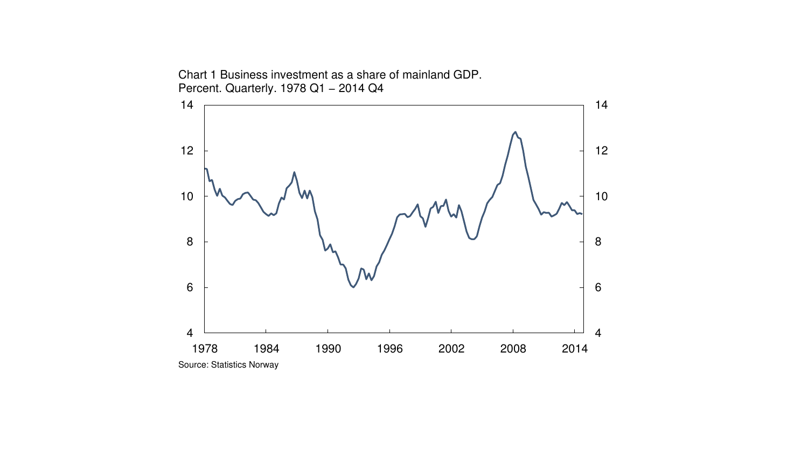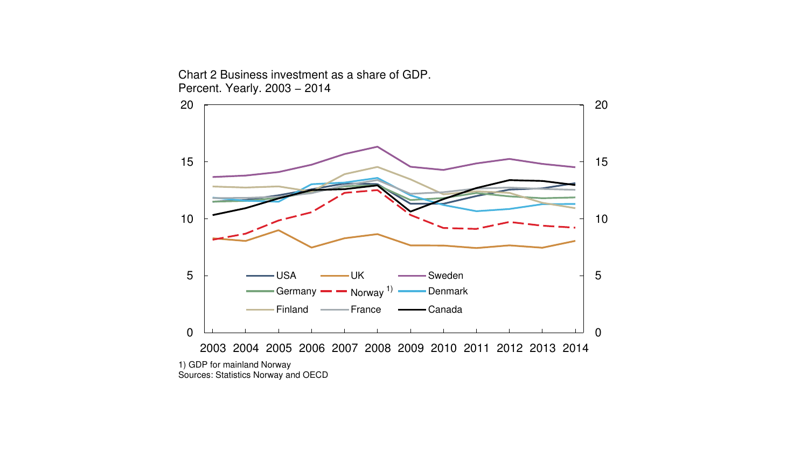Chart 2 Business investment as a share of GDP. Percent. Yearly. 2003 − 2014

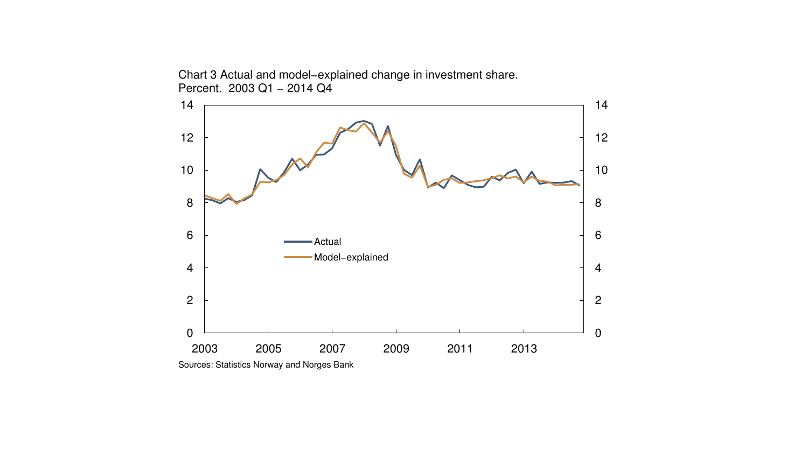Chart 3 Actual and model−explained change in investment share. Percent. 2003 Q1 - 2014 Q4



Sources: Statistics Norway and Norges Bank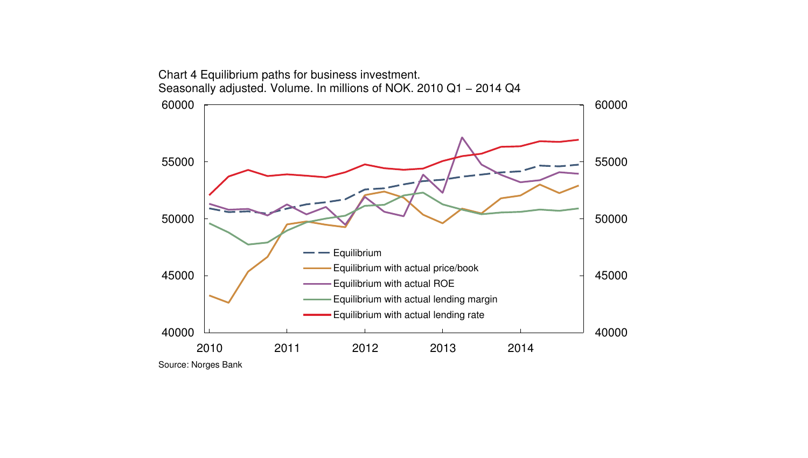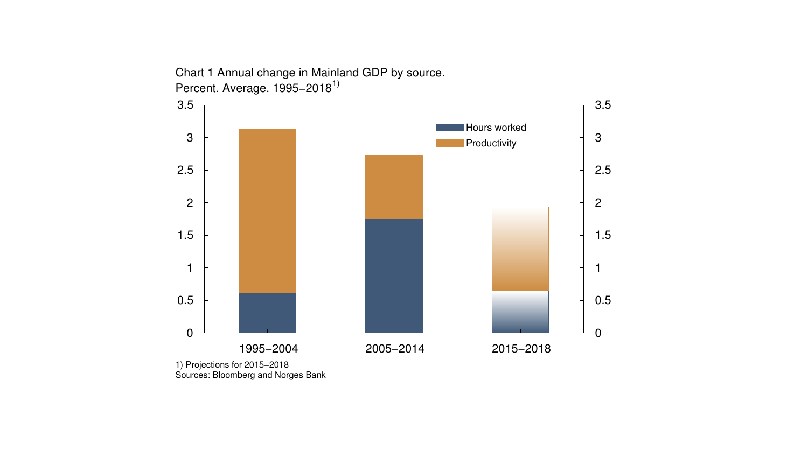Chart 1 Annual change in Mainland GDP by source. Percent. Average. 1995–2018<sup>1)</sup>



<sup>1)</sup> Projections for 2015−2018 Sources: Bloomberg and Norges Bank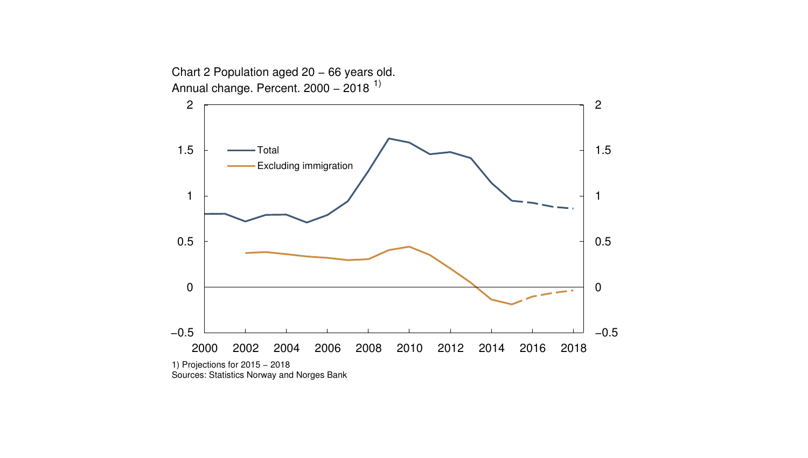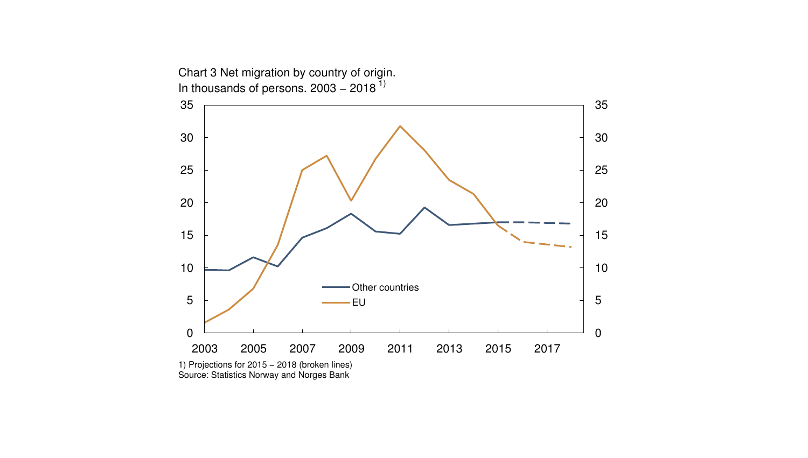

Source: Statistics Norway and Norges Bank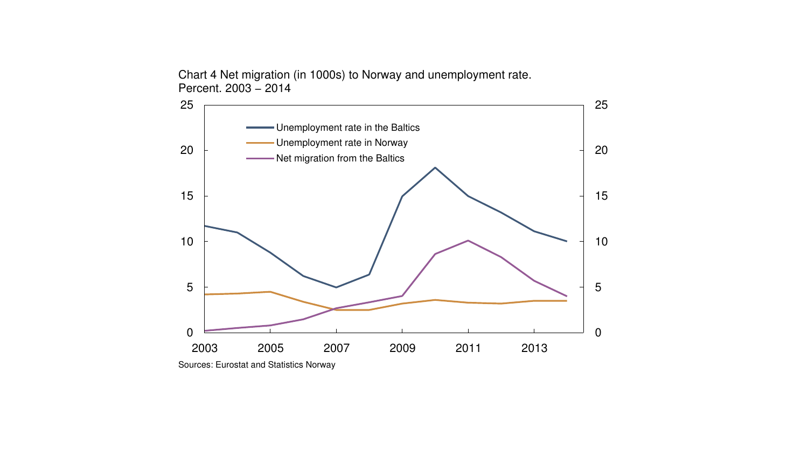Chart 4 Net migration (in 1000s) to Norway and unemployment rate. Percent. 2003 − 2014



Sources: Eurostat and Statistics Norway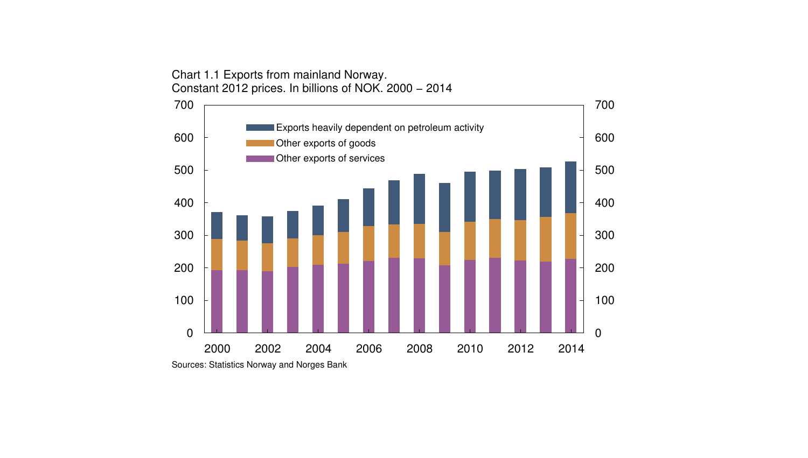Chart 1.1 Exports from mainland Norway. Constant 2012 prices. In billions of NOK. 2000 − 2014



Sources: Statistics Norway and Norges Bank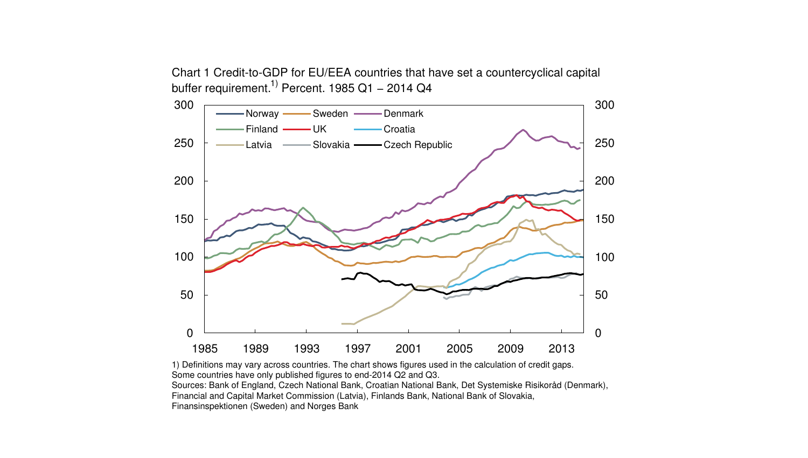Chart 1 Credit-to-GDP for EU/EEA countries that have set a countercyclical capital buffer requirement.<sup>1)</sup> Percent. 1985 Q1 – 2014 Q4



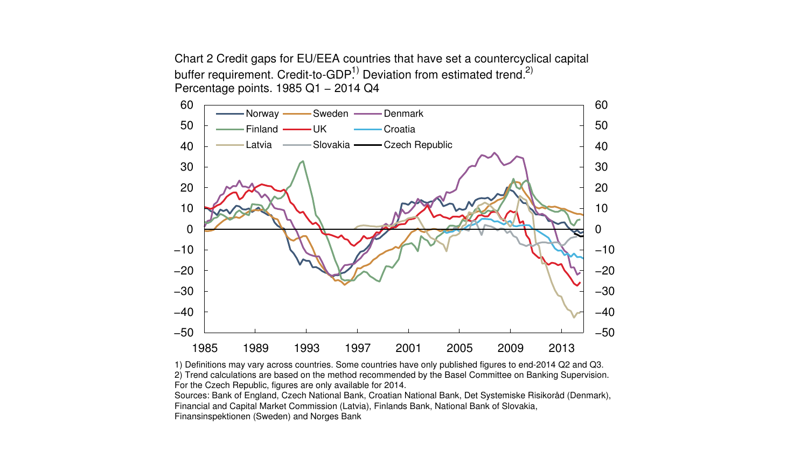Chart 2 Credit gaps for EU/EEA countries that have set a countercyclical capital buffer requirement. Credit-to-GDP.<sup>1)</sup> Deviation from estimated trend.<sup>2)</sup> Percentage points. 1985 Q1 − 2014 Q4



1) Definitions may vary across countries. Some countries have only published figures to end-2014 Q2 and Q3. 2) Trend calculations are based on the method recommended by the Basel Committee on Banking Supervision. For the Czech Republic, figures are only available for 2014.

Sources: Bank of England, Czech National Bank, Croatian National Bank, Det Systemiske Risikoråd (Denmark), Financial and Capital Market Commission (Latvia), Finlands Bank, National Bank of Slovakia, Finansinspektionen (Sweden) and Norges Bank